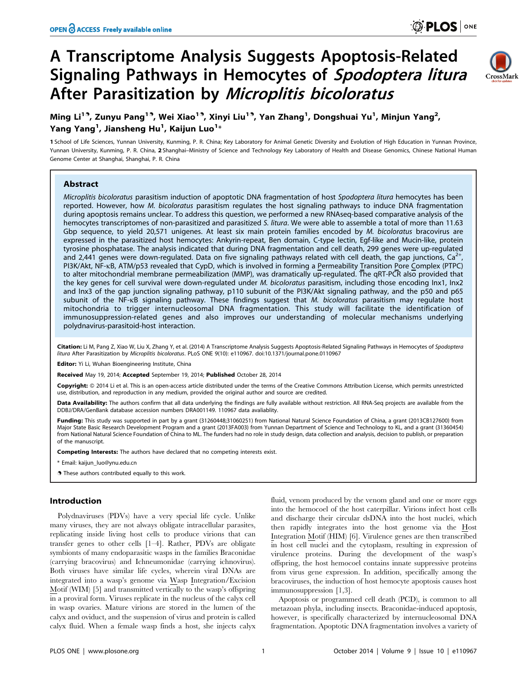# A Transcriptome Analysis Suggests Apoptosis-Related Signaling Pathways in Hemocytes of Spodoptera litura After Parasitization by Microplitis bicoloratus



Ming Li<sup>19</sup>, Zunyu Pang<sup>19</sup>, Wei Xiao<sup>19</sup>, Xinyi Liu<sup>19</sup>, Yan Zhang<sup>1</sup>, Dongshuai Yu<sup>1</sup>, Minjun Yang<sup>2</sup>, Yang Yang $^1$ , Jiansheng Hu $^1$ , Kaijun Luo $^1\!ast$ 

1 School of Life Sciences, Yunnan University, Kunming, P. R. China; Key Laboratory for Animal Genetic Diversity and Evolution of High Education in Yunnan Province, Yunnan University, Kunming, P. R. China, 2 Shanghai-Ministry of Science and Technology Key Laboratory of Health and Disease Genomics, Chinese National Human Genome Center at Shanghai, Shanghai, P. R. China

## Abstract

Microplitis bicoloratus parasitism induction of apoptotic DNA fragmentation of host Spodoptera litura hemocytes has been reported. However, how M. bicoloratus parasitism regulates the host signaling pathways to induce DNA fragmentation during apoptosis remains unclear. To address this question, we performed a new RNAseq-based comparative analysis of the hemocytes transcriptomes of non-parasitized and parasitized S. litura. We were able to assemble a total of more than 11.63 Gbp sequence, to yield 20,571 unigenes. At least six main protein families encoded by M. bicoloratus bracovirus are expressed in the parasitized host hemocytes: Ankyrin-repeat, Ben domain, C-type lectin, Egf-like and Mucin-like, protein tyrosine phosphatase. The analysis indicated that during DNA fragmentation and cell death, 299 genes were up-regulated and 2,441 genes were down-regulated. Data on five signaling pathways related with cell death, the gap junctions, Ca<sup>2+</sup>, PI3K/Akt, NF-kB, ATM/p53 revealed that CypD, which is involved in forming a Permeability Transition Pore Complex (PTPC) to alter mitochondrial membrane permeabilization (MMP), was dramatically up-regulated. The qRT-PCR also provided that the key genes for cell survival were down-regulated under M. bicoloratus parasitism, including those encoding Inx1, Inx2 and Inx3 of the gap junction signaling pathway, p110 subunit of the PI3K/Akt signaling pathway, and the p50 and p65 subunit of the NF-KB signaling pathway. These findings suggest that M. bicoloratus parasitism may regulate host mitochondria to trigger internucleosomal DNA fragmentation. This study will facilitate the identification of immunosuppression-related genes and also improves our understanding of molecular mechanisms underlying polydnavirus-parasitoid-host interaction.

Citation: Li M, Pang Z, Xiao W, Liu X, Zhang Y, et al. (2014) A Transcriptome Analysis Suggests Apoptosis-Related Signaling Pathways in Hemocytes of Spodoptera litura After Parasitization by Microplitis bicoloratus. PLoS ONE 9(10): e110967. doi:10.1371/journal.pone.0110967

Editor: Yi Li, Wuhan Bioengineering Institute, China

Received May 19, 2014; Accepted September 19, 2014; Published October 28, 2014

Copyright: © 2014 Li et al. This is an open-access article distributed under the terms of the [Creative Commons Attribution License](http://creativecommons.org/licenses/by/4.0/), which permits unrestricted use, distribution, and reproduction in any medium, provided the original author and source are credited.

Data Availability: The authors confirm that all data underlying the findings are fully available without restriction. All RNA-Seq projects are available from the DDBJ/DRA/GenBank database accession numbers DRA001149. 110967 data avaliablity.

Funding: This study was supported in part by a grant (31260448;31060251) from National Natural Science Foundation of China, a grant (2013CB127600) from Major State Basic Research Development Program and a grant (2013FA003) from Yunnan Department of Science and Technology to KL, and a grant (31360454) from National Natural Science Foundation of China to ML. The funders had no role in study design, data collection and analysis, decision to publish, or preparation of the manuscript.

Competing Interests: The authors have declared that no competing interests exist.

\* Email: kaijun\_luo@ynu.edu.cn

**.** These authors contributed equally to this work.

## Introduction

Polydnaviruses (PDVs) have a very special life cycle. Unlike many viruses, they are not always obligate intracellular parasites, replicating inside living host cells to produce virions that can transfer genes to other cells [1–4]. Rather, PDVs are obligate symbionts of many endoparasitic wasps in the families Braconidae (carrying bracovirus) and Ichneumonidae (carrying ichnovirus). Both viruses have similar life cycles, wherein viral DNAs are integrated into a wasp's genome via Wasp Integration/Excision Motif (WIM) [5] and transmitted vertically to the wasp's offspring in a proviral form. Viruses replicate in the nucleus of the calyx cell in wasp ovaries. Mature virions are stored in the lumen of the calyx and oviduct, and the suspension of virus and protein is called calyx fluid. When a female wasp finds a host, she injects calyx

fluid, venom produced by the venom gland and one or more eggs into the hemocoel of the host caterpillar. Virions infect host cells and discharge their circular dsDNA into the host nuclei, which then rapidly integrates into the host genome via the Host Integration Motif (HIM) [6]. Virulence genes are then transcribed in host cell nuclei and the cytoplasm, resulting in expression of virulence proteins. During the development of the wasp's offspring, the host hemocoel contains innate suppressive proteins from virus gene expression. In addition, specifically among the bracoviruses, the induction of host hemocyte apoptosis causes host immunosuppression [1,3].

Apoptosis or programmed cell death (PCD), is common to all metazoan phyla, including insects. Braconidae-induced apoptosis, however, is specifically characterized by internucleosomal DNA fragmentation. Apoptotic DNA fragmentation involves a variety of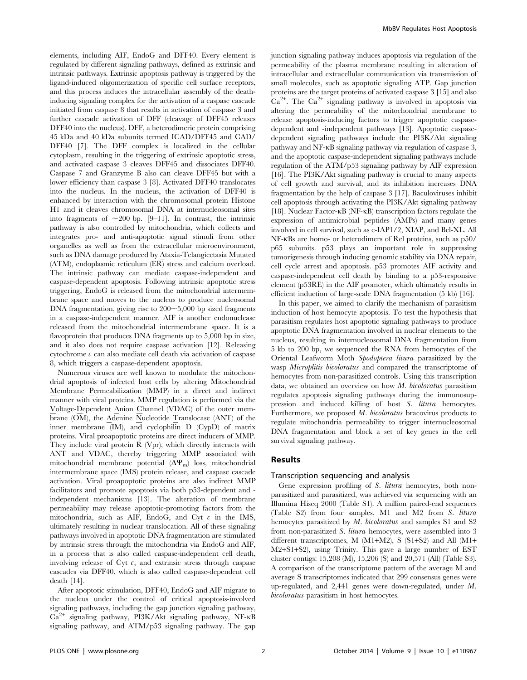elements, including AIF, EndoG and DFF40. Every element is regulated by different signaling pathways, defined as extrinsic and intrinsic pathways. Extrinsic apoptosis pathway is triggered by the ligand-induced oligomerization of specific cell surface receptors, and this process induces the intracellular assembly of the deathinducing signaling complex for the activation of a caspase cascade initiated from caspase 8 that results in activation of caspase 3 and further cascade activation of DFF (cleavage of DFF45 releases DFF40 into the nucleus). DFF, a heterodimeric protein comprising 45 kDa and 40 kDa subunits termed ICAD/DFF45 and CAD/ DFF40 [7]. The DFF complex is localized in the cellular cytoplasm, resulting in the triggering of extrinsic apoptotic stress, and activated caspase 3 cleaves DFF45 and dissociates DFF40. Caspase 7 and Granzyme B also can cleave DFF45 but with a lower efficiency than caspase 3 [8]. Activated DFF40 translocates into the nucleus. In the nucleus, the activation of DFF40 is enhanced by interaction with the chromosomal protein Histone H1 and it cleaves chromosomal DNA at internucleosomal sites into fragments of  $\sim$ 200 bp. [9–11]. In contrast, the intrinsic pathway is also controlled by mitochondria, which collects and integrates pro- and anti-apoptotic signal stimuli from other organelles as well as from the extracellular microenvironment, such as DNA damage produced by Ataxia-Telangiectasia Mutated (ATM), endoplasmic reticulum (ER) stress and calcium overload. The intrinsic pathway can mediate caspase-independent and caspase-dependent apoptosis. Following intrinsic apoptotic stress triggering, EndoG is released from the mitochondrial intermembrane space and moves to the nucleus to produce nucleosomal DNA fragmentation, giving rise to  $200 \sim 5,000$  bp sized fragments in a caspase-independent manner. AIF is another endonuclease released from the mitochondrial intermembrane space. It is a flavoprotein that produces DNA fragments up to 5,000 bp in size, and it also does not require caspase activation [12]. Releasing cytochrome  $c$  can also mediate cell death via activation of caspase 8, which triggers a caspase-dependent apoptosis.

Numerous viruses are well known to modulate the mitochondrial apoptosis of infected host cells by altering Mitochondrial Membrane Permeabilization (MMP) in a direct and indirect manner with viral proteins. MMP regulation is performed via the Voltage-Dependent Anion Channel (VDAC) of the outer membrane (OM), the Adenine Nucleotide Translocase (ANT) of the inner membrane (IM), and cyclophilin D (CypD) of matrix proteins. Viral proapoptotic proteins are direct inducers of MMP. They include viral protein R (Vpr), which directly interacts with ANT and VDAC, thereby triggering MMP associated with mitochondrial membrane potential  $(\Delta \Psi_{\rm m})$  loss, mitochondrial intermembrane space (IMS) protein release, and caspase cascade activation. Viral proapoptotic proteins are also indirect MMP facilitators and promote apoptosis via both p53-dependent and independent mechanisms [13]. The alteration of membrane permeability may release apoptotic-promoting factors from the mitochondria, such as AIF, EndoG, and Cyt  $c$  in the IMS, ultimately resulting in nuclear translocation. All of these signaling pathways involved in apoptotic DNA fragmentation are stimulated by intrinsic stress through the mitochondria via EndoG and AIF, in a process that is also called caspase-independent cell death, involving release of Cyt  $c$ , and extrinsic stress through caspase cascades via DFF40, which is also called caspase-dependent cell death [14].

After apoptotic stimulation, DFF40, EndoG and AIF migrate to the nucleus under the control of critical apoptosis-involved signaling pathways, including the gap junction signaling pathway,  $Ca^{2+}$  signaling pathway, PI3K/Akt signaling pathway, NF- $\kappa$ B signaling pathway, and ATM/p53 signaling pathway. The gap

junction signaling pathway induces apoptosis via regulation of the permeability of the plasma membrane resulting in alteration of intracellular and extracellular communication via transmission of small molecules, such as apoptotic signaling ATP. Gap junction proteins are the target proteins of activated caspase 3 [15] and also  $Ca^{2+}$ . The  $Ca^{2+}$  signaling pathway is involved in apoptosis via altering the permeability of the mitochondrial membrane to release apoptosis-inducing factors to trigger apoptotic caspasedependent and -independent pathways [13]. Apoptotic caspasedependent signaling pathways include the PI3K/Akt signaling pathway and NF-kB signaling pathway via regulation of caspase 3, and the apoptotic caspase-independent signaling pathways include regulation of the ATM/p53 signaling pathway by AIF expression [16]. The PI3K/Akt signaling pathway is crucial to many aspects of cell growth and survival, and its inhibition increases DNA fragmentation by the help of caspase 3 [17]. Baculoviruses inhibit cell apoptosis through activating the PI3K/Akt signaling pathway [18]. Nuclear Factor- $\kappa$ B (NF- $\kappa$ B) transcription factors regulate the expression of antimicrobial peptides (AMPs) and many genes involved in cell survival, such as c-IAP1/2, XIAP, and Bcl-XL. All NF-kBs are homo- or heterodimers of Rel proteins, such as p50/ p65 subunits. p53 plays an important role in suppressing tumorigenesis through inducing genomic stability via DNA repair, cell cycle arrest and apoptosis. p53 promotes AIF activity and caspase-independent cell death by binding to a p53-responsive element (p53RE) in the AIF promoter, which ultimately results in efficient induction of large-scale DNA fragmentation (5 kb) [16].

In this paper, we aimed to clarify the mechanism of parasitism induction of host hemocyte apoptosis. To test the hypothesis that parasitism regulates host apoptotic signaling pathways to produce apoptotic DNA fragmentation involved in nuclear elements to the nucleus, resulting in internucleosomal DNA fragmentation from 5 kb to 200 bp, we sequenced the RNA from hemocytes of the Oriental Leafworm Moth Spodoptera litura parasitized by the wasp *Microplitis bicoloratus* and compared the transcriptome of hemocytes from non-parasitized controls. Using this transcription data, we obtained an overview on how M. bicoloratus parasitism regulates apoptosis signaling pathways during the immunosuppression and induced killing of host S. litura hemocytes. Furthermore, we proposed M. bicoloratus bracovirus products to regulate mitochondria permeability to trigger internucleosomal DNA fragmentation and block a set of key genes in the cell survival signaling pathway.

#### Results

#### Transcription sequencing and analysis

Gene expression profiling of S. litura hemocytes, both nonparasitized and parasitized, was achieved via sequencing with an Illumina Hiseq 2000 (Table S1). A million paired-end sequences (Table S2) from four samples, M1 and M2 from S. litura hemocytes parasitized by *M. bicoloratus* and samples S1 and S2 from non-parasitized S. litura hemocytes, were assembled into 3 different transcriptomes, M (M1+M2), S (S1+S2) and All (M1+ M2+S1+S2), using Trinity. This gave a large number of EST cluster contigs: 15,208 (M), 15,206 (S) and 20,571 (All) (Table S3). A comparison of the transcriptome pattern of the average M and average S transcriptomes indicated that 299 consensus genes were up-regulated, and 2,441 genes were down-regulated, under M. bicoloratus parasitism in host hemocytes.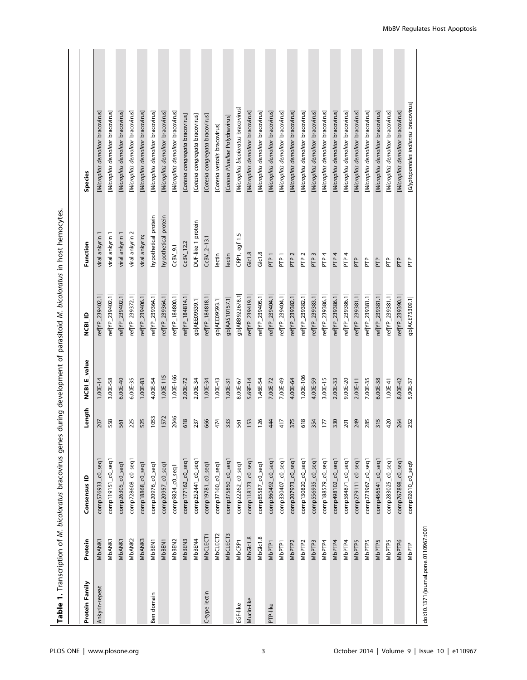|                                       |                    | Table 1. Transcription of M. bicoloratus bracovirus genes |        |              | during development of parasitoid M. bicoloratus in host hemocytes |                      |                                       |
|---------------------------------------|--------------------|-----------------------------------------------------------|--------|--------------|-------------------------------------------------------------------|----------------------|---------------------------------------|
|                                       |                    |                                                           |        |              |                                                                   |                      |                                       |
| Protein Family                        | Protein            | Consensus ID                                              | Length | NCBI_E_value | <b>QUIRDN</b>                                                     | Function             | <b>Species</b>                        |
| Ankyrin-repeat                        | <b>MbANK1</b>      | comp576933_c0_seq1                                        | 207    | $1.00E-14$   | ref YP_239402.1                                                   | viral ankyrin 1      | [Microplitis demolitor bracovirus]    |
|                                       | MbANK1             | comp119151_c0_seq1                                        | 558    | 3.00E-58     | ref YP_239402.1                                                   | viral ankyrin 1      | [Microplitis demolitor bracovirus]    |
|                                       | MbANK1             | comp26305_c0_seq1                                         | 561    | $6.00E-40$   | ref YP_239402.1                                                   | viral ankyrin 1      | [Microplitis demolitor bracovirus]    |
|                                       | MbANK2             | comp728608_c0_seq1                                        | 225    | 6.00E-35     | ref(YP_239372.1)                                                  | viral ankyrin 2      | [Microplitis demolitor bracovirus]    |
|                                       | MbANK3             | comp18868_c0_seq1                                         | 525    | 1.00E-83     | ref YP_239406.1                                                   | viral ankyrin;       | [Microplitis demolitor bracovirus]    |
| Ben domain                            | MbBEN1             | comp20976_c0_seq1                                         | 1053   | 4.00E-54     | ref YP_239364.1                                                   | hypothetical protein | [Microplitis demolitor bracovirus]    |
|                                       | MbBEN1             | comp20957_c0_seq1                                         | 1572   | $1.00E-115$  | ref YP_239364.1                                                   | hypothetical protein | [Microplitis demolitor bracovirus]    |
|                                       | MbBEN2             | comp9824_c0_seq1                                          | 2046   | 1.00E-166    | ref YP_184800.1                                                   | $CEV_9.1$            | [Microplitis demolitor bracovirus]    |
|                                       | MbBEN3             | comp177162_c0_seq1                                        | 618    | 2.00E-72     | ref YP_184814.1                                                   | $CcBV$ _12.2         | [Cotesia congregata bracovirus]       |
|                                       | MbBEN4             | comp252441_c0_seq1                                        | 237    | 2.00E-34     | gb AEE09539.1                                                     | DUF-like 1 protein   | [Cotesia congregata bracovirus]       |
| C-type lectin                         | MbCLECT1           | comp19781_c0_seq1                                         | 666    | $1.00E-34$   | ref YP_184818.1                                                   | $CeBV_2-13.1$        | [Cotesia congregata bracovirus]       |
|                                       | MbCLECT2           | comp37160_c0_seq1                                         | 474    | $1.00E-43$   | gb AEE09593.1                                                     | lectin               | [Cotesia vestalis bracovirus]         |
|                                       | MbCLECT3           | comp375850_c0_seq1                                        | 333    | $1.00E-31$   | gb AAS10157.1                                                     | lectin               | [Cotesia Plutellae Polydnavirus]      |
| EGF-like                              | MbCRP1             | comp22262_c0_seq1                                         | 561    | 8.00E-67     | gb ABB922678.1                                                    | CRP1, egf 1.5        | [Microplitis bicoloratus bracovirus]  |
| Mucin-like                            | MbGlc1.8           | comp118173_c0_seq1                                        | 153    | $5.69E-14$   | ref YP_239419.1                                                   | Glc1.8               | [Microplitis demolitor bracovirus]    |
|                                       | MbGlc1.8           | comp85587_c0_seq1                                         | 126    | 1.46E-54     | ef YP_239405.1                                                    | Glc1.8               | [Microplitis demolitor bracovirus]    |
| PTP-like                              | MbPTP <sub>1</sub> | comp360492_c0_seq1                                        | 444    | 7.00E-72     | ref YP_239404.1                                                   | PTP <sub>1</sub>     | [Microplitis demolitor bracovirus]    |
|                                       | MbPTP1             | comp330407_c0_seq1                                        | 417    | 7.00E-49     | ref YP_239404.1                                                   | PTP <sub>1</sub>     | [Microplitis demolitor bracovirus]    |
|                                       | MbPTP <sub>2</sub> | comp207973_c0_seq1                                        | 375    | 4.00E-64     | ref YP_239382.1                                                   | PTP <sub>2</sub>     | [Microplitis demolitor bracovirus]    |
|                                       | MbPTP <sub>2</sub> | comp130820_c0_seq1                                        | 618    | 1.00E-106    | ref(YP_239382.1                                                   | PTP <sub>2</sub>     | [Microplitis demolitor bracovirus]    |
|                                       | MbPTP3             | comp556935_c0_seq1                                        | 354    | 4.00E-59     | ref YP_239383.1                                                   | PTP <sub>3</sub>     | [Microplitis demolitor bracovirus]    |
|                                       | MbPTP4             | comp188579_c0_seq1                                        | 177    | 3.00E-15     | ref YP_239386.1                                                   | P <sub>TP4</sub>     | [Microplitis demolitor bracovirus]    |
|                                       | MbPTP4             | comp498102_c0_seq1                                        | 330    | 2.00E-33     | ref YP_239386.1                                                   | PTP <sub>4</sub>     | [Microplitis demolitor bracovirus]    |
|                                       | MbPTP4             | comp584871_c0_seq1                                        | 201    | 9.00E-20     | ref YP_239386.1                                                   | PTP <sub>4</sub>     | [Microplitis demolitor bracovirus]    |
|                                       | <b>MbPTP5</b>      | comp279111_c0_seq1                                        | 249    | $2.00E-11$   | ref YP_239381.1                                                   | PTP                  | [Microplitis demolitor bracovirus]    |
|                                       | <b>MbPTP5</b>      | comp273967_c0_seq1                                        | 285    | 7.00E-35     | ref YP_239381.1                                                   | ΡF                   | [Microplitis demolitor bracovirus]    |
|                                       | <b>MbPTP5</b>      | comp456541_c0_seq1                                        | 315    | 6.00E-38     | ref YP_239381.1                                                   | FTP                  | [Microplitis demolitor bracovirus]    |
|                                       | <b>MbPTP5</b>      | comp283025_c0_seq1                                        | 420    | $1.00E-41$   | ref(YP_239381.1                                                   | ΡF                   | [Microplitis demolitor bracovirus]    |
|                                       | MbPTP6             | comp767898_c0_seq1                                        | 264    | 8.00E-42     | ref YP_239390.1                                                   | PTP                  | [Microplitis demolitor bracovirus]    |
|                                       | MbPTP              | comp92610_c0_seq9                                         | 252    | 5.90E-37     | gb ACE75309.1                                                     | ΡF                   | [Glyptapanteles indiensis bracovirus] |
| doi:10.1371/journal.pone.0110967.t001 |                    |                                                           |        |              |                                                                   |                      |                                       |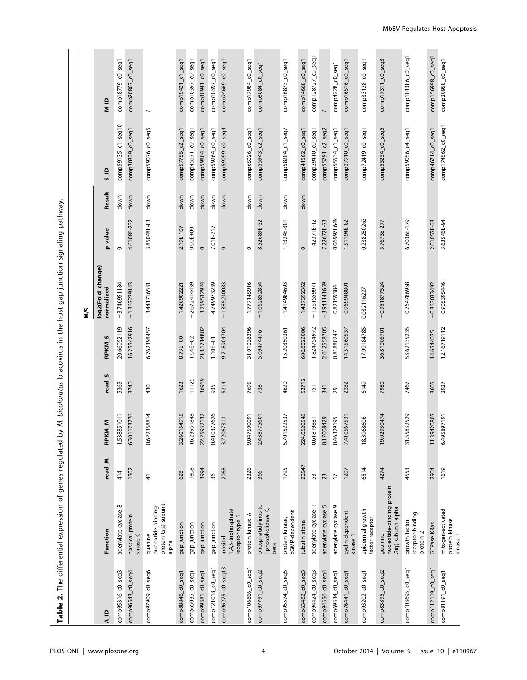Table 2. The differential expression of genes regulated by M. bicoloratus bracovirus in the host gap junction signaling pathway. Table 2. The differential expression of genes regulated by M. bicoloratus bracovirus in the host gap junction signaling pathway.

|                    |                                                                |                |                 |                   |              | N/S                             |              |        |                    |                          |
|--------------------|----------------------------------------------------------------|----------------|-----------------|-------------------|--------------|---------------------------------|--------------|--------|--------------------|--------------------------|
| A_ID               | Function                                                       | read_M         | KM M<br>죧       | read <sub>S</sub> | <b>RPKMS</b> | log2(Fold_change)<br>normalized | p-value      | Result | $\frac{1}{2}$      | $\frac{1}{2}$            |
| comp95316_c0_seq3  | ${}^{\circ}$<br>adenylate cyclase                              | 414            | 1.538851011     | 5365              | 20.66052119  | $-3.746951184$                  | $\circ$      | down   | comp59135_c1_seq10 | comp18779_c0_seq1        |
| comp96543_c0_seq4  | classical protein<br>kinase C                                  | 1502           | 6.301173776     | 3740              | 16.25542916  | $-1.367229143$                  | 4.6108E-232  | down   | comp30329_c0_seq1  | comp20807_c0_seq1        |
| comp97909_c0_seq6  | protein G(s) subunit<br>nucleotide-binding<br>guanine<br>alpha | 4              | 0.622358814     | 430               | 6.762398457  | $-3.441716531$                  | 3.85048E-83  | down   | comp59076_c0_seq5  |                          |
| comp88846_c0_seq1  | gap junction                                                   | 628            | 3.260154915     | 1623              | 8.73E+00     | $-1.420902221$                  | 2.19E-107    | down   | comp57755_c2_seq1  | comp19421_c1_seq1        |
| comp65035_c0_seq1  | gap junction                                                   | 1808           | 16.23951848     | 11125             | $1.04E + 02$ | $-2.672414439$                  | $0.00E + 00$ | down   | comp45671_c0_seq1  | $-0.5$ seq1<br>comp10397 |
| comp99381_c0_seq1  | gap junction                                                   | 3994           | 22.25932132     | 36919             | 213.1714802  | $-3.259532924$                  | $\circ$      | down   | comp59804_c0_seq1  | comp30941_c0_seq1        |
| comp121018_c0_seq1 | gap junction                                                   | 36             | 0377626<br>0.41 | 935               | $1.10E + 01$ | $-4.749973239$                  | 7.01E-217    | down   | comp59264_c0_seq1  | comp10397_c0_seq1        |
| comp96275_c0_seq13 | 1,4,5-triphosphate<br>receptor type 1<br>inositol              | 2068           | 3.72067313      | 5214              | 9.718904704  | $-1.385230083$                  | $\circ$      | down   | comp59099_c0_seq4  | comp94669_c0_seq1        |
| comp106866_c0_seq1 | protein kinase A                                               | 2326           | 9.047590091     | 7695              | 31.01038396  | $-1.777145916$                  | $\circ$      | down   | comp65026_c0_seq1  | comp17984_c0_seq1        |
| comp97791_c0_seq2  | phosphatidylinosito<br>phospholipase C,<br>beta                | 366            | 2.438775601     | 738               | 5.09474476   | $-1.062852854$                  | 8.52689E-32  | down   | comp55943_c2_seq1  | comp8084_c0_seq1         |
| comp95574_c0_seq5  | cGMP-dependent<br>protein kinase,                              | 1795           | 5.701522537     | 4620              | 15.20350361  | $-1.414984693$                  | 1.1324E-301  | down   | comp58204_c1_seq7  | comp16873_c0_seq1        |
| comp63482_c0_seq3  | tubulin alpha                                                  | 20547          | 0520545<br>224. | 53712             | 606.8022006  | $-1.437392362$                  | $\circ$      | down   | comp41562_c0_seq1  | comp14668_c0_seq1        |
| comp94424_c0_seq3  | $\overline{\phantom{0}}$<br>adenylate cyclase                  | 53             | 819881<br>0.61  | 151               | 1.824754972  | $-1.561559971$                  | 1.42371E-12  |        | comp29410_c0_seq1  | comp128727_c0_seq1       |
| comp94556_c0_seq4  | 5<br>adenylate cyclase                                         | 23             | 0.17008429      | 341               | 2.612558705  | $-3.941141659$                  | 7.22672E-73  |        | comp55791_c2_seq2  |                          |
| comp69534_c0_seq1  | adenylate cyclase 9                                            | $\overline{1}$ | 0.46329195      | 29                | 0.81880247   | $-0.82159384$                   | 0.069978649  |        | comp55534_c1_seq1  | comp4228_c0_seq1         |
| comp76441_c0_seq1  | cyclin-dependent<br>kinase 1                                   | 1207           | 0567531<br>7.41 | 2282              | 14.51560537  | $-0.969948801$                  | 1.51194E-82  |        | comp27910_c0_seq1  | $comp16516_CO$ _seq1     |
| comp93202_c0_seq1  | epidermal growth<br>factor receptor                            | 6514           | 18.3968606      | 6149              | 17.99184785  | 0.032116227                     | 0.238280263  |        | comp72419_c0_seq1  | comp33128_c0_seq1        |
| comp83895_c0_seq2  | nucleotide-binding protein<br>G(q) subunit alpha<br>guanine    | 4274           | 19.02930474     | 7980              | 36.81006701  | $-0.951877524$                  | 5.7673E-277  |        | comp55254_c0_seq5  | comp17311_c0_seq3        |
| comp103695_c0_seq1 | receptor-binding<br>growth factor<br>protein 2                 | 4553           | 31.55832529     | 7467              | 53.62135235  | $-0.764786958$                  | 6.7036E-179  |        | comp59056_c4_seq1  | comp101386_c0_seq1       |
| comp112119_c0_seq1 | GTPase KRas                                                    | 2904           | 11.39420805     | 3605              | 14.6544025   | $-0.363033492$                  | 2.01055E-23  |        | comp46714_c0_seq1  | comp156998_c0_seq1       |
| comp81191_c0_seq1  | mitogen-activated<br>protein kinase<br>kinase 1                | 1619           | 6.495897191     | 2927              | 12.16719112  | $-0.905395446$                  | 3.63546E-94  |        | comp174562_c0_seq1 | comp20958_c0_seq1        |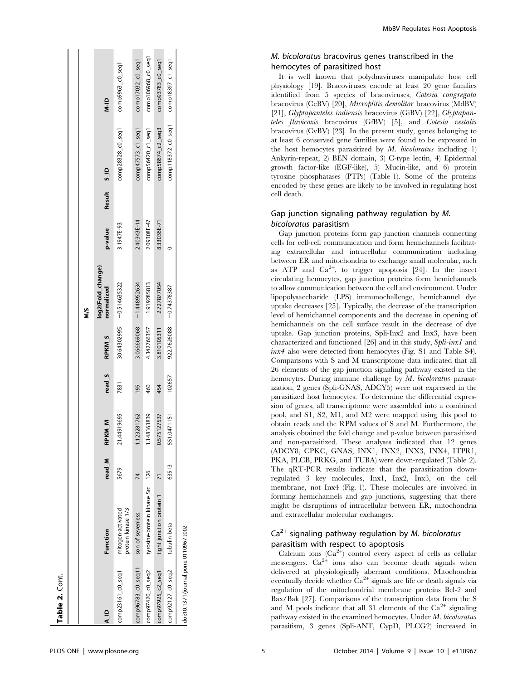| Table 2. Cont.                        |                                         |                |                  |        |                          |                                 |             |             |                    |                    |
|---------------------------------------|-----------------------------------------|----------------|------------------|--------|--------------------------|---------------------------------|-------------|-------------|--------------------|--------------------|
|                                       |                                         |                |                  |        |                          |                                 |             |             |                    |                    |
|                                       |                                         |                |                  |        |                          | ΣM                              |             |             |                    |                    |
| ≙<br>∡                                | Function                                | read_M         | M<br>M<br>RPKI   | read_S | <b>RPKM<sub>S</sub></b>  | log2(Fold_change)<br>normalized | p-value     | Result S_ID |                    | $\frac{1}{2}$      |
| comp23161_c0_seq1                     | protein kinase 1/3<br>mitogen-activated | 5679           | 21.44919695      | 7831   |                          | 30.64302995 - 0.514635322       | 3.1947E-93  |             | comp28328_c0_seq1  | $comp9963_c0_s$    |
| comp96783_c0_seq11                    | son of sevenless                        | 74             | 1.123281762      | 195    |                          | $3.066669068$ -1.448952634      | 2.40343E-14 |             | comp47573_c1_seq1  | comp17032_c0_seq1  |
| comp97420_c0_seq2                     | tyrosine-protein kinase Src 126         |                | 1.148163839      | 460    |                          | 4.342766357 - 1.919285813       | 2.09308E-47 |             | comp56420_c1_seq1  | comp106968_c0_seq1 |
| comp97925_c2_seq1                     | tight junction protein 1                | $\overline{7}$ | 0.575127537      | 454    |                          | $3.810105311 -2.727877054$      | 8.33036E-71 |             | comp58674_c2_seq3  | comp93783_c0_seq1  |
| comp92127_c0_seq2                     | tubulin beta                            | 63513          | 0471151<br>551.0 | 102657 | 922.7626088 - 0.74378387 |                                 |             |             | comp118372_c0_seq1 | comp18397_c1_seq1  |
| doi:10.1371/journal.pone.0110967.t002 |                                         |                |                  |        |                          |                                 |             |             |                    |                    |

# M. bicoloratus bracovirus genes transcribed in the hemocytes of parasitized host

It is well known that polydnaviruses manipulate host cell physiology [19]. Bracoviruses encode at least 20 gene families identified from 5 species of bracoviruses, Cotesia congregata bracovirus (CcBV) [20], Microplitis demolitor bracovirus (MdBV) [21], Glyptapanteles indiensis bracovirus (GiBV) [22], Glyptapanteles flavicoxis bracovirus (GfBV) [5], and Cotesia vestalis bracovirus (CvBV) [23]. In the present study, genes belonging to at least 6 conserved gene families were found to be expressed in the host hemocytes parasitized by  $M.$  bicoloratus including 1) Ankyrin-repeat, 2) BEN domain, 3) C-type lectin, 4) Epidermal growth factor-like (EGF-like), 5) Mucin-like, and 6) protein tyrosine phosphatases (PTPs) (Table 1). Some of the proteins encoded by these genes are likely to be involved in regulating host cell death.

## Gap junction signaling pathway regulation by M. bicoloratus parasitism

Gap junction proteins form gap junction channels connecting cells for cell-cell communication and form hemichannels facilitating extracellular and intracellular communication including between ER and mitochondria to exchange small molecular, such as ATP and  $Ca^{2+}$ , to trigger apoptosis [24]. In the insect circulating hemocytes, gap junction proteins form hemichannels to allow communication between the cell and environment. Under lipopolysaccharide (LPS) immunochallenge, hemichannel dye uptake decreases [25]. Typically, the decrease of the transcription level of hemichannel components and the decrease in opening of hemichannels on the cell surface result in the decrease of dye uptake. Gap junction proteins, Spli-Inx2 and Inx3, have been characterized and functioned [26] and in this study, Spli-inx1 and inx4 also were detected from hemocytes (Fig. S1 and Table S4). Comparisons with S and M transcriptome data indicated that all 26 elements of the gap junction signaling pathway existed in the hemocytes. During immune challenge by *M. bicoloratus* parasitization, 2 genes (Spli-GNAS, ADCY5) were not expressed in the parasitized host hemocytes. To determine the differential expression of genes, all transcriptome were assembled into a combined pool, and S1, S2, M1, and M2 were mapped using this pool to obtain reads and the RPM values of S and M. Furthermore, the analysis obtained the fold change and p-value between parasitized and non-parasitized. These analyses indicated that 12 genes (ADCY8, CPKC, GNAS, INX1, INX2, INX3, INX4, ITPR1, PKA, PLCB, PRKG, and TUBA) were down-regulated (Table 2). The qRT-PCR results indicate that the parasitization downregulated 3 key molecules, Inx1, Inx2, Inx3, on the cell membrane, not Inx4 (Fig. 1). These molecules are involved in forming hemichannels and gap junctions, suggesting that there might be disruptions of intracellular between ER, mitochondria and extracellular molecular exchanges.

# $Ca<sup>2+</sup>$  signaling pathway regulation by M. bicoloratus parasitism with respect to apoptosis

Calcium ions  $(Ca^{2+})$  control every aspect of cells as cellular messengers.  $Ca^{2+}$  ions also can become death signals when delivered at physiologically aberrant conditions. Mitochondria eventually decide whether  $Ca^{2+}$  signals are life or death signals via regulation of the mitochondrial membrane proteins Bcl-2 and Bax/Bak [27]. Comparisons of the transcription data from the S and M pools indicate that all 31 elements of the  $Ca<sup>2+</sup>$  signaling pathway existed in the examined hemocytes. Under M. bicoloratus parasitism, 3 genes (Spli-ANT, CypD, PLCG2) increased in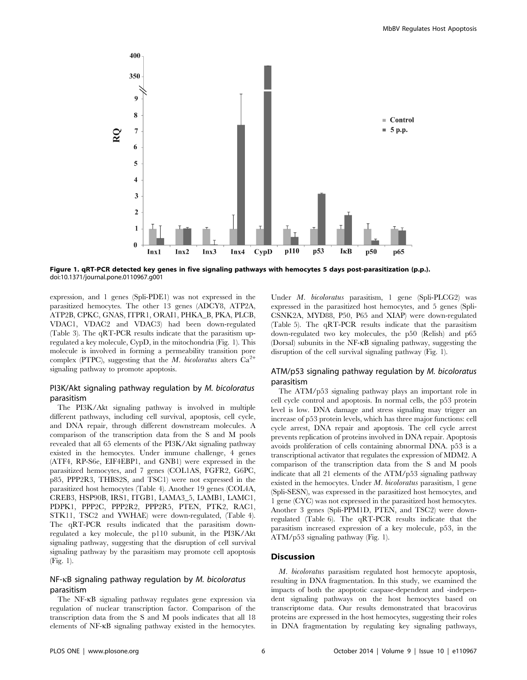

Figure 1. qRT-PCR detected key genes in five signaling pathways with hemocytes 5 days post-parasitization (p.p.). doi:10.1371/journal.pone.0110967.g001

expression, and 1 genes (Spli-PDE1) was not expressed in the parasitized hemocytes. The other 13 genes (ADCY8, ATP2A, ATP2B, CPKC, GNAS, ITPR1, ORAI1, PHKA\_B, PKA, PLCB, VDAC1, VDAC2 and VDAC3) had been down-regulated (Table 3). The qRT-PCR results indicate that the parasitism upregulated a key molecule, CypD, in the mitochondria (Fig. 1). This molecule is involved in forming a permeability transition pore complex (PTPC), suggesting that the M. bicoloratus alters  $Ca^{2+}$ signaling pathway to promote apoptosis.

## PI3K/Akt signaling pathway regulation by M. bicoloratus parasitism

The PI3K/Akt signaling pathway is involved in multiple different pathways, including cell survival, apoptosis, cell cycle, and DNA repair, through different downstream molecules. A comparison of the transcription data from the S and M pools revealed that all 65 elements of the PI3K/Akt signaling pathway existed in the hemocytes. Under immune challenge, 4 genes (ATF4, RP-S6e, EIF4EBP1, and GNB1) were expressed in the parasitized hemocytes, and 7 genes (COL1AS, FGFR2, G6PC, p85, PPP2R3, THBS2S, and TSC1) were not expressed in the parasitized host hemocytes (Table 4). Another 19 genes (COL4A, CREB3, HSP90B, IRS1, ITGB1, LAMA3\_5, LAMB1, LAMC1, PDPK1, PPP2C, PPP2R2, PPP2R5, PTEN, PTK2, RAC1, STK11, TSC2 and YWHAE) were down-regulated, (Table 4). The qRT-PCR results indicated that the parasitism downregulated a key molecule, the p110 subunit, in the PI3K/Akt signaling pathway, suggesting that the disruption of cell survival signaling pathway by the parasitism may promote cell apoptosis (Fig. 1).

## NF-kB signaling pathway regulation by M. bicoloratus parasitism

The NF-kB signaling pathway regulates gene expression via regulation of nuclear transcription factor. Comparison of the transcription data from the S and M pools indicates that all 18 elements of NF-kB signaling pathway existed in the hemocytes.

Under M. bicoloratus parasitism, 1 gene (Spli-PLCG2) was expressed in the parasitized host hemocytes, and 5 genes (Spli-CSNK2A, MYD88, P50, P65 and XIAP) were down-regulated (Table 5). The qRT-PCR results indicate that the parasitism down-regulated two key molecules, the p50 (Relish) and p65 (Dorsal) subunits in the NF-kB signaling pathway, suggesting the disruption of the cell survival signaling pathway (Fig. 1).

## ATM/p53 signaling pathway regulation by M. bicoloratus parasitism

The ATM/p53 signaling pathway plays an important role in cell cycle control and apoptosis. In normal cells, the p53 protein level is low. DNA damage and stress signaling may trigger an increase of p53 protein levels, which has three major functions: cell cycle arrest, DNA repair and apoptosis. The cell cycle arrest prevents replication of proteins involved in DNA repair. Apoptosis avoids proliferation of cells containing abnormal DNA. p53 is a transcriptional activator that regulates the expression of MDM2. A comparison of the transcription data from the S and M pools indicate that all 21 elements of the ATM/p53 signaling pathway existed in the hemocytes. Under M. bicoloratus parasitism, 1 gene (Spli-SESN), was expressed in the parasitized host hemocytes, and 1 gene (CYC) was not expressed in the parasitized host hemocytes. Another 3 genes (Spli-PPM1D, PTEN, and TSC2) were downregulated (Table 6). The qRT-PCR results indicate that the parasitism increased expression of a key molecule, p53, in the ATM/p53 signaling pathway (Fig. 1).

## Discussion

M. bicoloratus parasitism regulated host hemocyte apoptosis, resulting in DNA fragmentation. In this study, we examined the impacts of both the apoptotic caspase-dependent and -independent signaling pathways on the host hemocytes based on transcriptome data. Our results demonstrated that bracovirus proteins are expressed in the host hemocytes, suggesting their roles in DNA fragmentation by regulating key signaling pathways,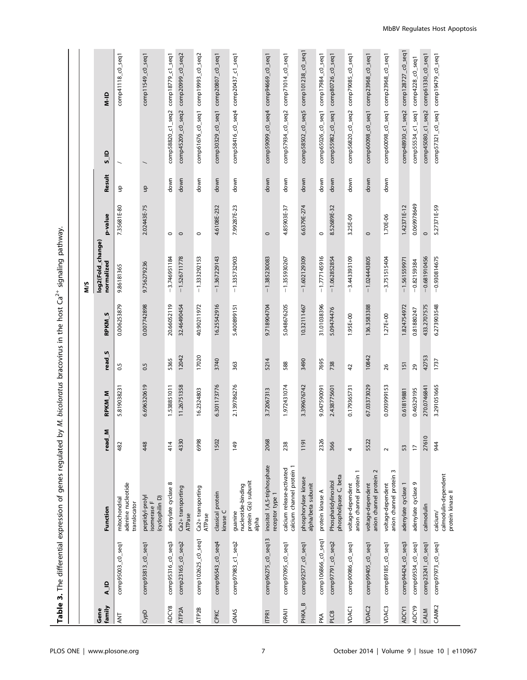Table 3. The differential expression of genes regulated by M. bicoloratus bracovirus in the host Ca<sup>2+</sup> signaling pathway. **Table 3.** The differential expression of genes regulated by M. bicoloratus bracovirus in the host Ca<sup>2+</sup> signaling pathway.

|                    |                    |                                                                |                |               |                   |               | ΜS                              |             |        |                                                  |                        |
|--------------------|--------------------|----------------------------------------------------------------|----------------|---------------|-------------------|---------------|---------------------------------|-------------|--------|--------------------------------------------------|------------------------|
| family<br>Gene     | A_ID               | Function                                                       | Σ<br>read      | <b>RPKM_M</b> | read <sub>S</sub> | <b>RPKM_S</b> | log2(Fold_change)<br>normalized | p-value     | Result | $\frac{1}{2}$                                    | QI-N                   |
| TNA                | comp95003_c0_seq1  | adenine nucleotide<br>mitochondrial<br>translocator            | 482            | 5.819038231   | 0.5               | 0.006253879   | 9.86181365                      | 7.35681E-80 | 윸      |                                                  | $comp41182$ $co2$ seq1 |
| CypD               | comp93813_c0_seq1  | peptidyl-prolyl<br>(cyclophilin D)<br>isomerase F              | 448            | 6.696320619   | 0.5               | 0.007742898   | 9.756279236                     | 2.02443E-75 | θ      |                                                  | comp11549_c0_seq1      |
| ADCY8              | comp95316_c0_seq3  | adenylate cyclase 8                                            | 414            | 1.538851011   | 5365              | 20.66052119   | $-3.746951184$                  | $\circ$     | down   | comp58820_c1_seq2 comp18779_c1_seq1              |                        |
| ATP <sub>2</sub> A | comp23165_c0_seq2  | Ca2+ transporting<br>ATPase                                    | 4330           | 11.26751358   | 12042             | 32.46490454   | $-1.526711778$                  | $\circ$     | down   | comp45209_c0_seq2 comp20999_c0_seq2              |                        |
| ATP2B              | comp102625_c0_seq1 | Ca2+ transporting<br>ATPase                                    | 6998           | 16.2324803    | 17020             | 40.90211972   | $-1.333292153$                  | $\circ$     | down   | comp61676_c0_seq1                                | comp19993_c0_seq2      |
| CPKC               | comp96543_c0_seq4  | classical protein<br>kinase C                                  | 1502           | 6.301173776   | 3740              | 16.25542916   | $-1.367229143$                  | 4.6108E-232 | down   | $comp30329_c0_seq1$ comp20807 <sub>c0_seq1</sub> |                        |
| GNAS               | comp97983_c1_seq2  | protein G(s) subunit<br>nucleotide-binding<br>guanine<br>alpha | 149            | 2.139786276   | 363               | 5.400899151   | $-1.335732903$                  | 7.99287E-23 | down   | comp58416_c0_seq4 comp20437_c1_seq1              |                        |
| <b>ITPR1</b>       | comp96275_c0_seq13 | inositol 1,4,5-triphosphate<br>receptor type 1                 | 2068           | 3.72067313    | 5214              | 9.718904704   | $-1.385230083$                  | $\circ$     | down   | comp59099_c0_seq4 comp94669_c0_seq1              |                        |
| <b>ORAIT</b>       | comp97095_c0_seq1  | calcium channel protein 1<br>calcium release-activated         | 238            | 1.972431074   | 588               | 5.048676205   | $-1.355930267$                  | 4.85903E-37 | down   | comp57934_c0_seq2 comp71014_c0_seq1              |                        |
| PHKA_B             | comp92577_c0_seq1  | phosphorylase kinase<br>alpha/beta subunit                     | 1191           | 3.399676742   | 3490              | 10.32111467   | $-1.602129309$                  | 6.6379E-274 | down   | comp58502_c0_seq5                                | comp101238_c0_seq1     |
| PKA                | comp106866_c0_seq1 | protein kinase A                                               | 2326           | 9.047590091   | 7695              | 31.01038396   | $-1.777145916$                  | $\circ$     | down   | comp65026_c0_seq1 comp17984_c0_seq1              |                        |
| PLCB               | comp97791_c0_seq2  | phospholipase C, beta<br>Phosphatidylinositol                  | 366            | 2.438775601   | 738               | 5.09474476    | $-1.062852854$                  | 8.52689E-32 | down   | $comp55982_c0_seq1$                              | comp80726_c0_seq1      |
| VDAC1              | comp90986_c0_seq1  | anion channel protein<br>voltage-dependent                     | 4              | 0.179365731   | $\overline{4}$    | 1.95E+00      | $-3.443393109$                  | 3.25E-09    | down   | comp56820_c0_seq2 comp79085_c0_seq1              |                        |
| VDAC <sub>2</sub>  | comp99405_c0_seq1  | 2<br>anion channel protein<br>voltage-dependent                | 5522           | 67.03373029   | 10842             | 136.3583388   | $-1.024443805$                  | $\circ$     | down   | comp60098_c0_seq1                                | comp23968_c0_seq1      |
| VDAC <sub>3</sub>  | comp89185_c0_seq1  | S<br>anion channel protein<br>voltage-dependent                | $\sim$         | 0.093999153   | 26                | 1.27E+00      | 3.751515404                     | 1.70E-06    | down   | comp60098_c0_seq1                                | comp23968_c0_seq1      |
| ADCY1              | comp94424_c0_seq3  | adenylate cyclase 1                                            | 53             | 0.61819881    | 151               | 1.824754972   | $-1.561559971$                  | 1.42371E-12 |        | comp48930_c1_seq2 comp128727_c0_seq1             |                        |
| ADCY9              | comp69534_c0_seq1  | adenylate cyclase 9                                            | $\overline{1}$ | 0.46329195    | 29                | 0.81880247    | $-0.82159384$                   | 0.069978649 |        | comp55534_c1_seq1 comp4228_c0_seq1               |                        |
| CALM               | comp23241_c0_seq1  | calmodulin                                                     | 27610          | 270.0746841   | 42753             | 433.2707575   | $-0.681910456$                  | $\circ$     |        | $comp45080_c1_seq2$ comp61330 <sub>c0_seq1</sub> |                        |
| CAMK2              | comp97973_c0_seq1  | calmodulin-dependent<br>protein kinase II<br>calcium/          | 944            | 3.291051665   | 1737              | 6.273903548   | $-0.930814675$                  | 5.27371E-59 |        | comp57321_c0_seq1 comp19479_c0_seq1              |                        |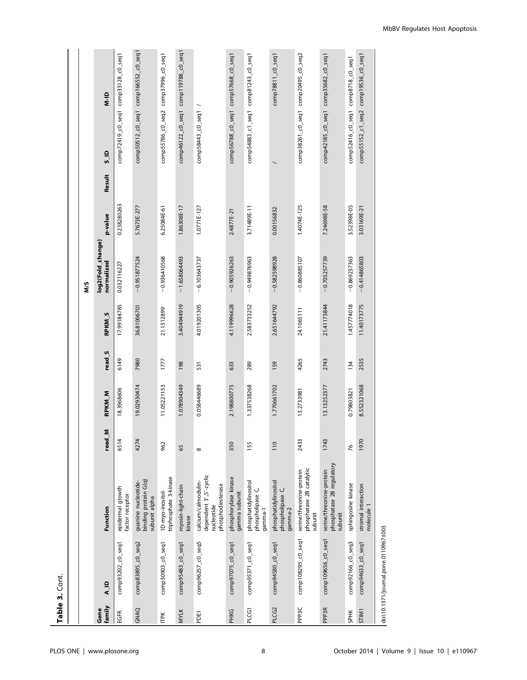|                   | Table 3. Cont.      |                                                                                  |           |                   |                   |                         |                                 |                   |                                                      |                   |
|-------------------|---------------------|----------------------------------------------------------------------------------|-----------|-------------------|-------------------|-------------------------|---------------------------------|-------------------|------------------------------------------------------|-------------------|
|                   |                     |                                                                                  |           |                   |                   |                         |                                 |                   |                                                      |                   |
|                   |                     |                                                                                  |           |                   |                   |                         | ΜS                              |                   |                                                      |                   |
| family<br>Gene    | $A$ ID              | Function                                                                         | Σ<br>read | RPKM <sub>M</sub> | read <sub>S</sub> | <b>RPKM<sub>S</sub></b> | log2(Fold_change)<br>normalized | Result<br>p-value | $\frac{0}{5}$                                        | $\frac{1}{2}$     |
| EGFR              | comp93202_c0_seq1   | epidermal growth<br>factor receptor                                              | 6514      | 18.3968606        | 6149              | 17.99184785             | 0.032116227                     | 0.238280263       | comp72419_c0_seq1                                    | comp33128_c0_seq1 |
| GNAQ              | comp83895_c0_seq2   | binding protein G(q)<br>guanine nucleotide-<br>subunit alpha                     | 4274      | 19.02930474       | 7980              | 36.81006701             | $-0.951877524$                  | 5.7673E-277       | $comp50512_c0_s$ eq1 comp166552 <sub>_</sub> c0_seq1 |                   |
| <b>ITPK</b>       | comp30903_c0_seq1   | triphosphate 3-kinase<br>1D-myo-inositol-                                        | 962       | 11.05221153       | 1777              | 21.1512899              | $-0.936410568$                  | 6.25084E-61       | comp55786_c0_seq2 comp37996_c0_seq1                  |                   |
| <b>MYLK</b>       | comp95483_c0_seq1   | myosin-light-chain<br>kinase                                                     | 65        | 1.078904349       | 198               | 3.404944919             | $-1.658064493$                  | 1.86308E-17       | $comp46122_c0_seq1$ comp119788 <sub>c0_seq1</sub>    |                   |
| PDE1              | comp96257_c0_seq5   | dependent 3',5'-cyclic<br>calcium/calmodulin-<br>phosphodiesterase<br>nucleotide | $\infty$  | 0.058446689       | 531               | 4.019201305             | $-6.103643737$                  | 1.0771E-127       | comp58443_c0_seq1                                    |                   |
| <b>PHKG</b>       | comp97075_c0_seq1   | phosphorylase kinase<br>gamma subunit                                            | 350       | 2.198800775       | 633               | 4.119996628             | $-0.905926263$                  | 2.4877E-21        | comp56788_c0_seq1 comp57668_c0_seq1                  |                   |
| PLCG1             | comp95371_c0_seq1   | phosphatidylinositol<br>phospholipase C,<br>gamma-1                              | 155       | 1.337538268       | 289               | 2.583733252             | $-0.949876963$                  | 3.71489E-11       | comp54883_c1_seq1 comp81243_c0_seq1                  |                   |
| PLCG2             | comp94580_c0_seq1   | phosphatidylinositol<br>phospholipase C,<br>gamma-2                              | 110       | 1.770661702       | 159               | 2.651644792             | $-0.582598928$                  | 0.00156832        |                                                      | comp78811_c0_seq1 |
| PPP <sub>3C</sub> | comp108295_c0_seq1  | phosphatase 2B catalytic<br>serine/threonine-protein<br>subunit                  | 2433      | 13.2733981        | 4265              | 24.1065111              | $-0.860885107$                  | 1.4074E-125       | comp38261_c0_seq1 comp20495_c0_seq2                  |                   |
| PPP <sub>3R</sub> | comp109656_c0_seq1  | phosphatase 2B regulatory<br>serine/threonine-protein<br>subunit                 | 1743      | 13.13252377       | 2743              | 21.41173844             | $-0.705257739$                  | 7.24698E-58       | $comp42185_c0_seq1$ $comp35682_c0_seq1$              |                   |
| <b>SPHK</b>       | comp92166_c0_seq3   | sphingosine kinase                                                               | 76        | 0.79803821        | 134               | 1.457774018             | $-0.869237363$                  | 3.52398E-05       | comp52416_c0_seq1 comp8718_c0_seq1                   |                   |
| STIM1             | $comp94633_c0_seq1$ | stromal interaction<br>molecule 1                                                | 1970      | 8.552321068       | 2535              | 11.40173775             | $-0.414865803$                  | 3.03169E-21       | comp55152_c1_seq2 comp19536_c0_seq1                  |                   |
|                   |                     |                                                                                  |           |                   |                   |                         |                                 |                   |                                                      |                   |

doi:10.1371/journal.pone.0110967.t003 doi:10.1371/journal.pone.0110967.t003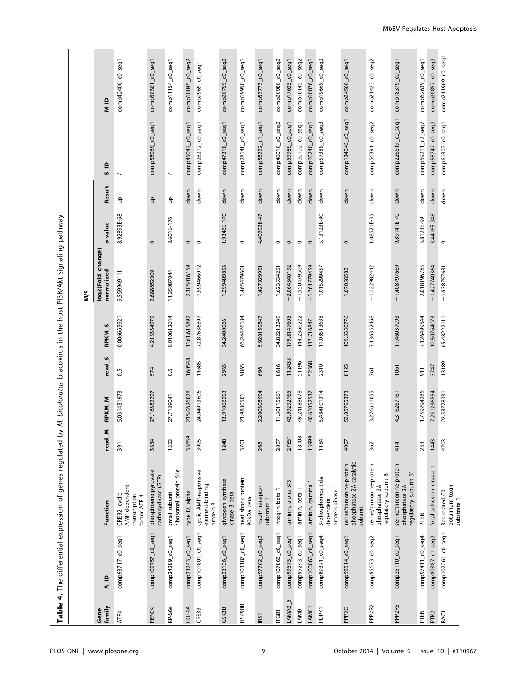| $\overline{ }$ |
|----------------|
| i              |
| Į<br>١<br>I    |
| l<br>ׇ֚֘֝֬     |
|                |
|                |
| $\vdots$       |
| Î<br>I         |

|                    |                    |                                                                       |           |               |                   |                   | ΜŚ                              |             |                               |                    |                       |
|--------------------|--------------------|-----------------------------------------------------------------------|-----------|---------------|-------------------|-------------------|---------------------------------|-------------|-------------------------------|--------------------|-----------------------|
| family<br>Gene     | <b>A_ID</b>        | Function                                                              | Σ<br>read | <b>RPKM_M</b> | read <sub>S</sub> | RPKM <sub>S</sub> | log2(Fold_change)<br>normalized | p-value     | Result                        | $\frac{1}{2}$      | $\frac{1}{2}$         |
| ATF4               | comp93717_c0_seq1  | AMP-dependent<br>CREB2; cyclic<br>transcription<br>factor ATF-4       | 391       | 5.031431973   | 0.5               | 0.006665921       | 0.559949111                     | 8.92893E-68 | 음                             |                    | comp42406_c0_seq1     |
| PEPCK              | comp109757_c0_seq1 | phosphoenolpyruvate<br>carboxykinase (GTP)                            | 3834      | 27.16382297   | 574               | 4.213334979       | 2.688652009                     | $\circ$     | $\frac{\mathsf d}{\mathsf d}$ | comp58069_c0_seq1  | comp30301_c0_seq1     |
| RP-S6e             | comp24289_c0_seq1  | ribosomal protein S6e<br>small subunit                                | 1353      | 27.7189041    | 0.5               | 0.010612644       | 11.35087044                     | 8.601E-176  | ٩                             |                    | comp11154_c0_seq1     |
| COL4A              | comp23243_c0_seq1  | type IV, alpha                                                        | 33659     | 235.0626028   | 160548            | 1161.615892       | $-2.305016159$                  | $\circ$     | down                          | comp45047_c0_seq1  | comp10045_c0_seq2     |
| CREB3              | comp101801_c0_seq1 | cyclic AMP-responsive<br>element-binding<br>protein 3                 | 3995      | 24.04913606   | 11685             | 72.87636897       | $-1.599466012$                  | $\circ$     | down                          | comp28212_c0_seq1  | comp9969_c0_seq1      |
| GSK3B              | comp23136_c0_seq1  | glycogen synthase<br>kinase 3 beta                                    | 1248      | 13.91068253   | 2965              | 34.2400086        | $-1.299489856$                  | 1.9348E-170 | down                          | comp47318_c0_seq1  | comp20759_c0_seq2     |
| HSP90B             | comp103187_c0_seq1 | heat shock protein<br>90kDa beta                                      | 3701      | 23.9880501    | 9865              | 66.24426184       | $-1.465479601$                  | $\circ$     | down                          | comp28148_c0_seq1  | comp19950_c0_seq1     |
| IRS1               | comp97702_c0_seq2  | insulin receptor<br>substrate 1                                       | 268       | 2.200308994   | 696               | 5.920159847       | $-1.427929991$                  | 4.40292E-47 | down                          | comp58222_c1_seq1  | comp53773_c0_seq1     |
| ILC <sub>B1</sub>  | comp107868_c0_seq1 | integrin beta 1                                                       | 2897      | 11.30115561   | 8616              | 34.82213249       | $-1.623534251$                  | $\circ$     | down                          | comp46010_c0_seq2  | comp20980_c0_seq2     |
| LAMA3              | comp99575_c0_seq1  | laminin, alpha 3/5                                                    | 27851     | 42.99292765   | 112433            | 179.8147605       | $-2.064340192$                  | $\circ$     | down                          | comp59989_c0_seq1  | comp17635_c0_seq1     |
| LAMB1              | comp95243_c0_seq1  | laminin, beta 1                                                       | 18108     | 49.24188678   | 51196             | 144.2366222       | $-1.550479569$                  | $\circ$     | down                          | comp60102_c0_seq1  | comp10145_c0_seq2     |
| LAMC1              | comp100060_c0_seq1 | laminin, gamma 1                                                      | 15999     | 40.61052537   | 52368             | 137.716847        | $-1.761779459$                  | $\circ$     | down                          | comp60240_c0_seq1  | comp10076_c0_seq1     |
| PDPK1              | comp89371_c0_seq4  | 3-phosphoinositide<br>protein kinase-1<br>dependent                   | 1184      | 5.484101314   | 2310              | 11.08513688       | $-1.015299457$                  | 5.13123E-90 | down                          | comp57389_c0_seq3  | comp19669_c0_seq2     |
| PPP <sub>2C</sub>  | comp99514_c0_seq1  | phosphatase 2A catalytic<br>serine/threonine-protein<br>subunit       | 4007      | 52.05795373   | 8123              | 109.3350776       | $-1.07056582$                   | $\circ$     | down                          | comp134046_c0_seq1 | $comp24560_{CO}$ seq1 |
| PPP <sub>2R2</sub> | comp95673_c0_seq2  | serine/threonine-protein<br>regulatory subunit B<br>phosphatase 2A    | 362       | 3.276611055   | 761               | 7.136352468       | $-1.122982442$                  | 1.08521E-35 | down                          | comp56391_c0_seq2  | comp21423_c0_seq2     |
| PPP <sub>2R5</sub> | comp25110_c0_seq1  | serine/threonine-protein<br>ò<br>regulatory subunit<br>phosphatase 2A | 414       | 4.316267161   | 1061              | 11.46037093       | $-1.408797669$                  | 9.89141E-70 | down                          | comp226619_c0_seq1 | comp18379_c0_seq1     |
| PTEN               | comp97411_c0_seq4  | PTEN                                                                  | 233       | 1.759294286   | $\overline{5}$    | 7.126499544       | $-2.018196785$                  | 5.8123E-99  | down                          | comp59211_c2_seq7  | comp62639_c0_seq1     |
| PTK2               | comp89387_c1_seq2  | focal adhesion kinase 1                                               | 1443      | 7.251236554   | 3747              | 19.50764073       | $-1.427740364$                  | 3.4416E-248 | down                          | comp58747_c0_seq2  | comp20857_c0_seq2     |
| RAC <sub>1</sub>   | comp102261_c0_seq1 | botulinum toxin<br>Ras-related C3<br>substrate 1                      | 4703      | 22.53778331   | 13189             | 65.48222111       | $-1.538757631$                  | $\circ$     | down                          | comp61307_c0_seq1  | comp211969_c0_seq1    |

 $\sim$ 

 $\overline{\phantom{a}}$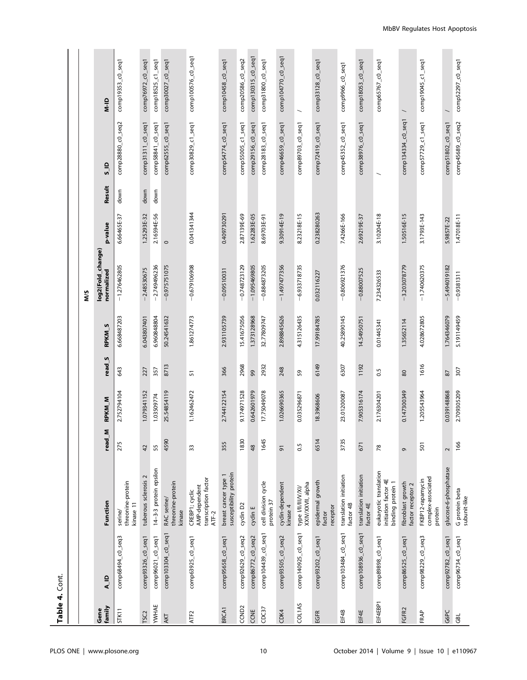| Table 4. Cont.    |                    |                                                                     |        |               |                   |                         |                                 |             |        |                    |                     |
|-------------------|--------------------|---------------------------------------------------------------------|--------|---------------|-------------------|-------------------------|---------------------------------|-------------|--------|--------------------|---------------------|
|                   |                    |                                                                     |        |               |                   |                         |                                 |             |        |                    |                     |
|                   |                    |                                                                     |        |               |                   |                         | ŠΜ                              |             |        |                    |                     |
| family<br>Gene    | $\frac{1}{2}$      | Function                                                            | read_M | <b>RPKM_M</b> | read <sub>S</sub> | <b>RPKM<sub>S</sub></b> | log2(Fold_change)<br>normalized | p-value     | Result | $\frac{5}{2}$      | $\frac{1}{2}$       |
| <b>STK11</b>      | comp68494_c0_seq3  | threonine-protein<br>kinase 11<br>serine/                           | 275    | 2.752794104   | 643               | 6.668487203             | $-1.276462805$                  | 6.66465E-37 | down   | comp28880_c0_seq2  | comp19353_c0_seq1   |
| TSC <sub>2</sub>  | comp93326_c0_seq1  | tuberous sclerosis 2                                                | 42     | 1.079341152   | 227               | 6.043807401             | $-2.48530675$                   | 1.25293E-32 | down   | comp31311_c0_seq1  | comp76972_c0_seq1   |
| <b>YWHAE</b>      | comp96021_c0_seq1  | 14-3-3 protein epsilon                                              | 55     | 1.03509774    | 357               | 6.960848804             | $-2.749496236$                  | 2.16594E-56 | down   | comp58841_c0_seq1  | comp18525_c1_seq1   |
| AKT               | comp103304_c0_seq1 | threonine-protein<br>RAC serine/<br>kinase                          | 4590   | 25.54854119   | 8713              | 50.24541632             | $-0.975751075$                  | $\circ$     |        | comp62555_c0_seq1  | $comp30027-co-seq1$ |
| ATF <sub>2</sub>  | comp63925_c0_seq1  | transcription factor<br>AMP-dependent<br>CREBP1; cyclic<br>ATF-2    | $33\,$ | 1.162462472   | 57                | 1.861274773             | $-0.679106908$                  | 0.041341344 |        | comp30829_c1_seq1  | comp100576_c0_seq1  |
| BRCA <sub>1</sub> | comp95658_c0_seq1  | susceptibility protein<br>breast cancer type 1                      | 355    | 2.744122154   | 366               | 2.931105739             | $-0.09510031$                   | 0.409730291 |        | comp54774_c0_seq1  | comp10458_c0_seq1   |
| CCND <sub>2</sub> | comp92629_c0_seq2  | cyclin D <sub>2</sub>                                               | 1830   | 9.174971528   | 2968              | 15.41675056             | $-0.748723129$                  | 2.87139E-69 |        | comp55005_c1_seq1  | comp20586_c0_seq2   |
| CCNE              | comp86772_c0_seq2  | cyclin E                                                            | 48     | 0.642601979   | 99                | 1.373128968             | $-1.095469805$                  | 1.62283E-05 |        | comp29156_c0_seq1  | comp130315_c0_seq1  |
| CDC37             | comp104439_c0_seq1 | cell division cycle<br>protein 37                                   | 1645   | 17.75049078   | 2932              | 32.77809747             | $-0.884873205$                  | 8.69703E-91 |        | comp28183_c0_seq1  | comp31800_c0_seq1   |
| CDK4              | comp93505_c0_seq2  | cyclin-dependent<br>kinase 4                                        | 5      | 1.026690365   | 248               | 2.898845626             | $-1.497477356$                  | 9.30914E-19 |        | comp46659_c0_seq1  | comp104770_c0_seq1  |
| <b>COL1AS</b>     | comp140925_c0_seq1 | type VII/III/V/XI/<br>XXIV/XXVII, alpha                             | 0.5    | 0.035296871   | 59                | 4.315126435             | $-6.933718735$                  | 8.23218E-15 |        | comp89703_c0_seq1  |                     |
| EGFR              | comp93202_c0_seq1  | epidermal growth<br>receptor<br>factor                              | 6514   | 18.3968606    | 6149              | 17.99184785             | 0.032116227                     | 0.238280263 |        | comp72419_c0_seq1  | comp33128_c0_seq1   |
| EIF4B             | comp103484_c0_seq1 | translation initiation<br>factor 4B                                 | 3735   | 23.01200087   | 6307              | 40.25890145             | $-0.806921376$                  | 7.4266E-166 |        | comp45352_c0_seq1  | comp9966_c0_seq1    |
| EIF4E             | comp108936_c0_seq1 | translation initiation<br>factor 4E                                 | 671    | 7.905316174   | 1192              | 14.54950751             | $-0.88007525$                   | 2.69219E-37 |        | comp38976_c0_seq1  | comp18053_c0_seq1   |
| EIF4EBP1          | comp89898_c0_seq1  | eukaryotic translation<br>initiation factor 4E<br>binding protein 1 | 78     | 2.176304201   | 0.5               | 0.01445341              | 7.234326533                     | 3.10204E-18 |        |                    | comp65767_c0_seq1   |
| FGFR2             | comp86525_c0_seq1  | fibroblast growth<br>factor receptor 2                              | G      | 0.147300349   | $80\,$            | 1.35652114              | $-3.203078779$                  | 1.50516E-15 |        | comp134334_c0_seq1 |                     |
| FRAP              | comp98229_c0_seq3  | complex-associated<br>FKBP12-rapamycin<br>protein                   | 501    | 1.205543964   | 1616              | 4.028672805             | $-1.740620375$                  | 3.1793E-143 |        | comp57729_c1_seq1  | comp19045_c1_seq1   |
| G6PC              | comp92782_c0_seq1  | glucose-6-phosphatase                                               | $\sim$ | 0.039148868   | 87                | 1.764346079             | $-5.494019182$                  | 5.9857E-22  |        | comp51802_c0_seq1  |                     |
| GBL               | comp96734_c0_seq1  | G protein beta<br>subunit-like                                      | 166    | 2.709305209   | 307               | 5.191149459             | $-0.9381311$                    | 1.47018E-11 |        | comp45689_c0_seq2  | comp52297_c0_seq1   |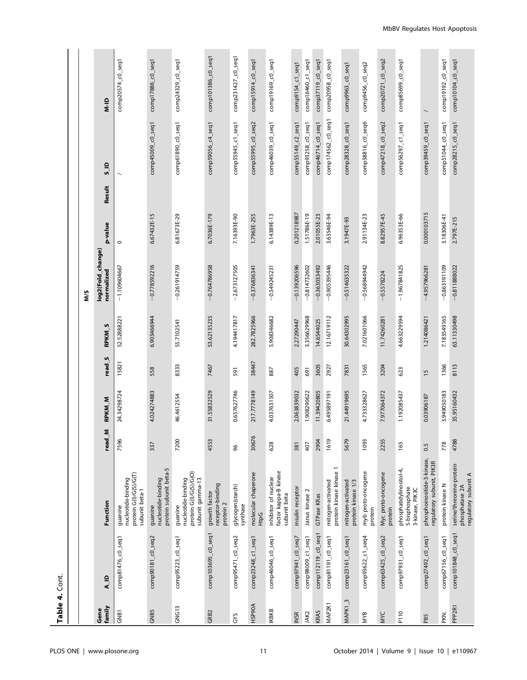Table 4. Cont. Table 4. Cont.

|                     |                    |                                                                             |        |                   |                   |               | ΜS                              |             |                         |                    |                          |
|---------------------|--------------------|-----------------------------------------------------------------------------|--------|-------------------|-------------------|---------------|---------------------------------|-------------|-------------------------|--------------------|--------------------------|
| family<br>Gene      | $A$ ip             | Function                                                                    | read_M | RPKM <sub>M</sub> | read <sub>S</sub> | <b>RPKM S</b> | log2(Fold_change)<br>normalized | p-value     | $\frac{1}{2}$<br>Result |                    | QI-N                     |
| GNB <sub>1</sub>    | comp81476_c0_seq1  | protein G(I)/G(S)/G(T)<br>nucleotide-binding<br>subunit beta-1<br>guanine   | 7596   | 24.34298724       | 15821             | 52.52888221   | $-1.109604667$                  | $\circ$     |                         |                    | comp20574_c0_seq1        |
| <b>GNB5</b>         | comp90181_c0_seq2  | protein subunit beta-5<br>nucleotide-binding<br>guanine                     | 337    | 4.024274883       | 558               | 6.903466944   | $-0.778592216$                  | 6.67432E-15 | comp45009_c0_seq1       |                    | comp17886_c0_seq1        |
| GNG13               | comp95223_c0_seq1  | protein G(I)/G(S)/G(O)<br>subunit gamma-13<br>nucleotide-binding<br>guanine | 7200   | 46.4612554        | 8333              | 55.7102541    | $-0.261914759$                  | 6.81673E-29 | comp61890_c0_seq1       |                    | comp24329_c0_seq1        |
| GRB2                | comp103695_c0_seq1 | receptor-binding<br>growth factor<br>protein 2                              | 4553   | 31.55832529       | 7467              | 53.62135235   | $-0.764786958$                  | 6.7036E-179 | comp59056_c4_seq1       |                    | comp101386_c0_seq1       |
| GYS                 | comp95471_c0_seq2  | glycogen(starch)<br>synthase                                                | 96     | 0.657627746       | 591               | 4.194417817   | 2.673127505                     | 7.16393E-90 | comp55945_c1_seq1       |                    | comp231427_c0_seq1       |
| <b>HSP90A</b>       | comp23248_c1_seq1  | molecular chaperone<br><b>HtpG</b>                                          | 30676  | 217.7778149       | 38447             | 282.7825966   | $-0.376836341$                  | 1.7963E-255 | comp55995_c0_seq2       |                    | comp15914_c0_seq1        |
| <b>IKBKB</b>        | comp46046_c0_seq1  | factor kappa-B kinase<br>inhibitor of nuclear<br>subunit beta               | 628    | 4.037631507       | 887               | 5.908346682   | $-0.549245231$                  | 6.14389E-13 | comp46039_c0_seq1       |                    | comp19169_c0_seq1        |
| <b>INSR</b>         | comp97941_c0_seq7  | insulin receptor                                                            | 381    | 2.063839032       | 405               | 2.27290447    | $-0.139206596$                  | 0.201218987 | $comp55149_c2_seq1$     |                    | comp9154_c1_seq1         |
| JAK2                | comp98009_c1_seq1  | Janus kinase 2                                                              | 407    | 1.908290622       | 691               | 3.356629968   | $-0.814732602$                  | 1.51786E-19 | comp93258_c0_seq1       |                    | comp16460_c1_seq1        |
| KRAS                | comp112119_c0_seq1 | GTPase KRas                                                                 | 2904   | 11.39420805       | 3605              | 14.6544025    | $-0.363033492$                  | 2.01055E-23 | comp46714_c0_seq1       |                    | comp37119_c0_seq1        |
| MAP <sub>2</sub> K1 | comp81191_c0_seq1  | protein kinase kinase 1<br>mitogen-activated                                | 1619   | 6.495897191       | 2927              | 12.16719112   | $-0.905395446$                  | 3.63546E-94 |                         | comp174562_c0_seq1 | comp20958_c0_seq1        |
| MAPK1_3             | comp23161_c0_seq1  | mitogen-activated<br>protein kinase 1/3                                     | 5679   | 21.44919695       | 7831              | 30.64302995   | $-0.514635322$                  | 3.1947E-93  | comp28328_c0_seq1       |                    | comp9963_c0_seq1         |
| MYB                 | comp93622_c1_seq4  | myb proto-oncogene<br>protein                                               | 1093   | 4.733328627       | 1565              | 7.021601066   | $-0.568944942$                  | 2.91134E-23 | comp58816_c0_seq6       |                    | comp9456_c0_seq2         |
| MYC                 | comp63425_c0_seq2  | Myc proto-oncogene<br>protein                                               | 2255   | 7.977064372       | 3204              | 11.74260281   | $-0.5578224$                    | 8.82957E-45 | comp47218_c0_seq2       |                    | comp20721_c0_seq2        |
| P110                | comp97931_c0_seq1  | phosphatidylinositol-4,<br>5-bisphosphate<br>3-kinase, PIK3C                | 165    | 1.192085437       | 623               | 4.663229594   | $-1.967841825$                  | 6.96353E-66 | comp56297_c1_seq1       |                    | comp85699_c0_seq1        |
| P85                 | comp27492_c0_seq1  | phosphoinositide-3-kinase,<br>regulatory subunit, PIK3R                     | 0.5    | 0.03906187        | $\frac{5}{5}$     | 1.214086421   | $-4.957966281$                  | 0.000103715 | comp39459_c0_seq1       |                    | $\overline{\phantom{0}}$ |
| PKN;                | comp67156_c0_seq1  | protein kinase N                                                            | 778    | 3.949050183       | 1366              | 7.183549165   | $-0.863191109$                  | 3.18306E-41 | comp51044_c0_seq1       |                    | comp19192_c0_seq1        |
| PPP <sub>2R1</sub>  | comp101848_c0_seq1 | serine/threonine-protein<br>regulatory subunit A<br>phosphatase 2A          | 4788   | 35.95160432       | 8113              | 63.11330498   | $-0.811888022$                  | 2.797E-215  | comp28215_c0_seq1       |                    | comp10104_c0_seq1        |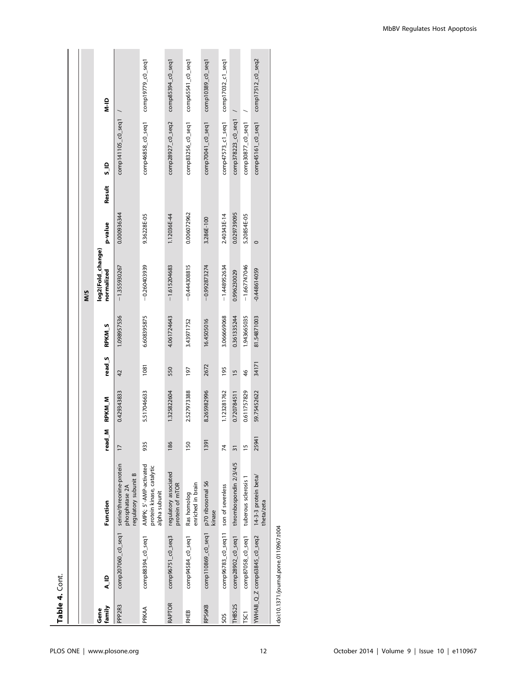| Ú      |  |
|--------|--|
| ø      |  |
| a<br>I |  |
|        |  |
| r      |  |

| Table 4. Cont.     |                                                  |                                                                      |                |               |                    |               |                                 |             |                         |                      |                                         |
|--------------------|--------------------------------------------------|----------------------------------------------------------------------|----------------|---------------|--------------------|---------------|---------------------------------|-------------|-------------------------|----------------------|-----------------------------------------|
|                    |                                                  |                                                                      |                |               |                    |               |                                 |             |                         |                      |                                         |
|                    |                                                  |                                                                      |                |               |                    |               | NNS                             |             |                         |                      |                                         |
| family<br>Gene     | a la                                             | Function                                                             | read_M         | <b>RPKM_M</b> | read <sub>_5</sub> | <b>RPKM_S</b> | log2(Fold_change)<br>normalized | p-value     | $\frac{a}{s}$<br>Result |                      | $\frac{1}{2}$                           |
| PPP <sub>2R3</sub> | comp207060_c0_seq1                               | serine/threonine-protein<br>regulatory subunit B<br>phosphatase 2A   | $\overline{1}$ | 0.429343833   | 42                 | 1.098957536   | $-1.355930267$                  | 0.000936344 |                         | $comp141105_CO_5eq1$ |                                         |
| PRKAA              | comp88394_c0_seq1                                | AMPK; 5'-AMP-activated<br>protein kinase, catalytic<br>alpha subunit | 935            | 5.517046633   | 1081               | 6.608395875   | $-0.260403939$                  | 9.36228E-05 |                         | comp46858_c0_seq1    | comp19779_c0_seq1                       |
| RAPTOR             | comp96751_c0_seq3                                | regulatory associated<br>protein of mTOR                             | 186            | 1.325822604   | 550                | 4.061724643   | $-1.615204683$                  | 1.12036E-44 |                         | comp28927_c0_seq2    | $comp85394_co_seq1$                     |
| <b>RHEB</b>        | comp94584_c0_seq1                                | enriched in brain<br>Ras homolog                                     | 150            | 2.527973388   | 197                | 3.43971752    | $-0.444308815$                  | 0.006072962 |                         | comp83256_c0_seq1    | $comp65541_c0_seq1$                     |
| RPS6KB             | comp110869_c0_seq1                               | p70 ribosomal S6<br>kinase                                           | 1391           | 8.265982996   | 2672               | 16.4505016    | $-0.992873274$                  | 3.286E-100  |                         | comp70041_c0_seq1    | $comp10389_CO_3eq1$                     |
| SOS                | comp96783_c0_seq11                               | son of sevenless                                                     | 74             | 1.123281762   | 195                | 3.066669068   | $-1.448952634$                  | 2.40343E-14 |                         | comp47573_c1_seq1    | comp17032_c1_seq1                       |
| THBS2S             | comp28902_c0_seq1                                | thrombospondin 2/3/4/5                                               | 31             | 0.720784511   | $\frac{15}{2}$     | 0.361335244   | 0.996230029                     | 0.029739095 |                         | comp378223_c0_seq1   |                                         |
| <b>TSC1</b>        | comp87058_c0_seq1                                | tuberous sclerosis 1                                                 | F              | 0.611757829   | $\frac{46}{5}$     | 1.943665035   | $-1.667747046$                  | 5.20854E-05 |                         | comp30877_c0_seq1    |                                         |
|                    | YWHAB_Q_Z comp63845_c0_seq2 14-3-3 protein beta/ | theta/zeta                                                           | 25941          | 59.75452622   | 34171              | 81.54871003   | $-0.448614059$                  | $\circ$     |                         |                      | $comp45161_c0_seq1$ $comp17512_c0_seq2$ |

doi:10.1371/journal.pone.0110967.t004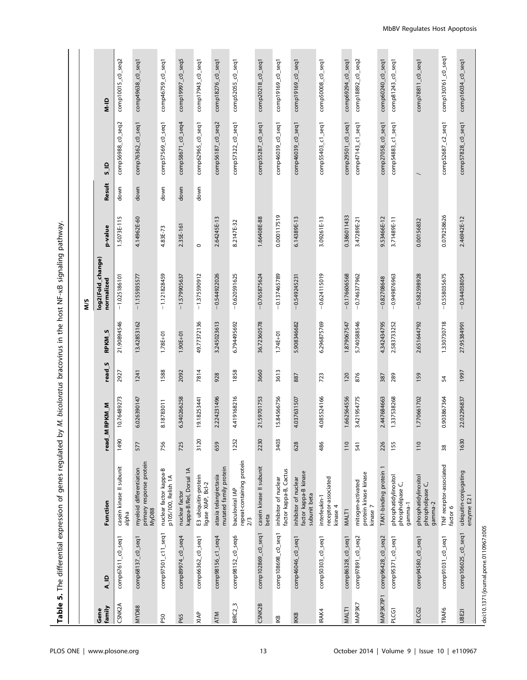Table 5. The differential expression of genes regulated by M. bicoloratus bracovirus in the host NF-KB signaling pathway. kB signaling pathway. Table 5. The differential expression of genes regulated by M. bicoloratus bracovirus in the host NF-

|                   |                                       |                                                               |      |             |                   |                         | ΜS                              |             |        |                       |                      |
|-------------------|---------------------------------------|---------------------------------------------------------------|------|-------------|-------------------|-------------------------|---------------------------------|-------------|--------|-----------------------|----------------------|
| family<br>Gene    | A <sub>L</sub> ID                     | Function                                                      | read | M RPKM_M    | read <sub>S</sub> | <b>RPKM<sub>S</sub></b> | log2(Fold_change)<br>normalized | p-value     | Result | $\frac{5}{5}$         | $\frac{1}{2}$        |
| CSNK2A            | comp67611_c0_seq1                     | casein kinase II subunit<br>alpha                             | 1490 | 10.76489273 | 2927              | 21.90894546             | $-1.025186101$                  | 1.5073E-115 | down   | comp56988_c0_seq2     | comp10015_c0_seq2    |
| MYD88             | comp68137_c0_seq1                     | primary response protein<br>MyD88<br>myeloid differentiation  | 577  | 6.026390147 | 1241              | 13.42853162             | $-1.155935577$                  | 4.14962E-60 | down   | comp76362_c0_seq1     | comp49638_c0_seq1    |
| P50               | comp97501_c11_seq1                    | nuclear factor kappa-B<br>p105/100, Relish 1A                 | 756  | 8.18783011  | 1588              | $1.78E + 01$            | $-1.121828459$                  | 4.83E-73    | down   | comp57569_c0_seq1     | comp46759_c0_seq1    |
| P65               | comp89974_c0_seq4                     | kappa-B/Rel, Dorsal 1A<br>nuclear factor                      | 725  | 6.340266258 | 2092              | $1.90E + 01$            | $-1.579905637$                  | 2.35E-161   | down   | comp58671_c0_seq4     | comp19997_c0_seq5    |
| XIAP              | comp66362_c0_seq1                     | E3 ubiquitin-protein<br>ligase XIAP, Bcl-2                    | 3120 | 19.18253441 | 7814              | 49.77372136             | $-1.375590912$                  | $\circ$     | down   | comp62965_c0_seq1     | comp17943_c0_seq1    |
| <b>ATM</b>        | comp98156_c1_seq4                     | mutated family protein<br>ataxia telangiectasia               | 659  | 2.224231496 | 928               | 3.245023613             | $-0.544922026$                  | 2.64245E-13 |        | comp56187_c0_seq2     | comp18276_c0_seq1    |
| $BIRC2-3$         | comp98152_c0_seq6                     | repeat-containing protein<br>baculoviral IAP<br>2/3           | 1252 | 4.419168216 | 1858              | 6.794495692             | $-0.620591625$                  | 8.2147E-32  |        | comp57322_c0_seq1     | comp52055_c0_seq1    |
| CSNK2B            | comp102869_c0_seq1                    | casein kinase II subunit<br>beta                              | 2230 | 21.59701753 | 3660              | 36.72360578             | $-0.765875624$                  | 1.66408E-88 |        | comp55287_c0_seq1     | comp20218_c0_seq1    |
| IКВ               | comp108698_c0_seq1                    | factor kappa-B, Cactus<br>inhibitor of nuclear                | 3403 | 15.84566756 | 3613              | $1.74E + 01$            | $-0.137465789$                  | 0.000117519 |        | comp46039_c0_seq1     | comp19169_c0_seq1    |
| <b>IKKB</b>       | comp46046_c0_seq1                     | factor kappa-B kinase<br>inhibitor of nuclear<br>subunit beta | 628  | 4.037631507 | 887               | 5.908346682             | $-0.549245231$                  | 6.14389E-13 |        | comp46039_c0_seq1     | $comp19169_CO$ _seq1 |
| IRAK4             | comp50303_c0_seq1                     | receptor-associated<br>interleukin-1<br>kinase 4              | 486  | 4.085524166 | 723               | 6.296875769             | $-0.624115019$                  | 3.09261E-13 |        | comp55403_c1_seq1     | comp50008_c0_seq1    |
| MALT <sub>1</sub> | comp86328_c0_seq1                     | MALT1                                                         | 110  | 1.662564556 | 120               | 1.879067547             | $-0.176606568$                  | 0.386011433 |        | $comp29501_00_0$ seq1 | comp69294_c0_seq1    |
| MAP3K7            | comp97891_c0_seq2                     | protein kinase kinase<br>mitogen-activated<br>kinase 7        | 541  | 3.421954775 | 876               | 5.740588546             | $-0.746377962$                  | 3.47289E-21 |        | comp47143_c1_seq1     | comp18892_c0_seq2    |
| MAP3K7IP1         | comp96428_c0_seq2                     | TAK1-binding protein 1                                        | 226  | 2.447684663 | 387               | 4.342434795             | $-0.82708648$                   | 9.53466E-12 |        | comp27058_c0_seq1     | comp60240_c0_seq1    |
| PLCG1             | comp95371_c0_seq1                     | phosphatidylinositol<br>phospholipase C,<br>gamma-1           | 155  | 1.337538268 | 289               | 2.583733252             | $-0.949876963$                  | 3.71489E-11 |        | comp54883_c1_seq1     | comp81243_c0_seq1    |
| PLCG2             | comp94580_c0_seq1                     | phosphatidylinositol<br>phospholipase C,<br>gamma-2           | 110  | 1.770661702 | 159               | 2.651644792             | $-0.582598928$                  | 0.00156832  |        |                       | comp78811_c0_seq1    |
| <b>TRAF6</b>      | comp91031_c0_seq1                     | TNF receptor-associated<br>factor 6                           | 38   | 0.903867364 | 54                | 1.330730718             | $-0.558035675$                  | 0.079258626 |        | comp52687_c2_seq1     | comp130761_c0_seq1   |
| UBE21             | comp106025_c0_seq1                    | ubiquitin-conjugating<br>enzyme E2                            | 1630 | 22.02296837 | 1997              | 27.95384991             | $-0.344038054$                  | 2.46942E-12 |        | comp57828_c0_seq1     | comp16034_c0_seq1    |
|                   | doi:10.1371/journal.pone.0110967.t005 |                                                               |      |             |                   |                         |                                 |             |        |                       |                      |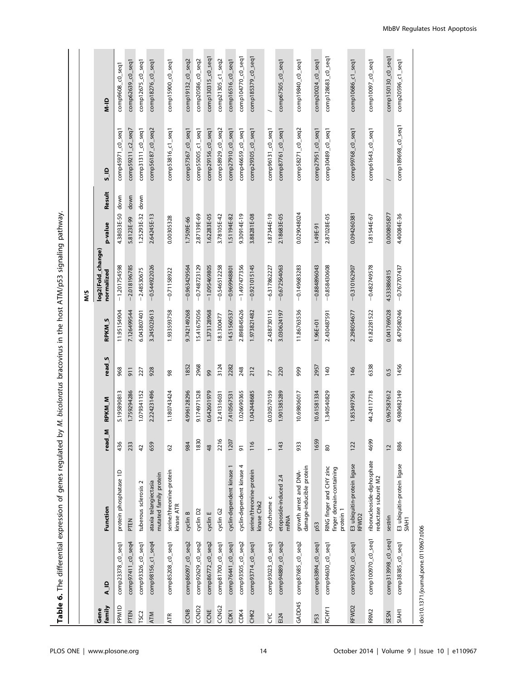Table 6. The differential expression of genes regulated by M. bicoloratus bracovirus in the host ATM/p53 signaling pathway. Table 6. The differential expression of genes regulated by M. bicoloratus bracovirus in the host ATM/p53 signaling pathway.

|                   |                                       |                                                                   |                |             |                   |                         | ΜS                              |                     |                    |                      |
|-------------------|---------------------------------------|-------------------------------------------------------------------|----------------|-------------|-------------------|-------------------------|---------------------------------|---------------------|--------------------|----------------------|
| family<br>Gene    | A_ID                                  | Function                                                          | read_M         | RPKM_M      | read <sub>S</sub> | <b>RPKM<sub>S</sub></b> | log2(Fold_change)<br>normalized | Result<br>p-value   | $\frac{0}{5}$      | $M-N$                |
| <b>PPM1D</b>      | comp23378_c0_seq1                     | protein phosphatase 1D                                            | 436            | 5.195890813 | 968               | 11.95154904             | $-1.201754598$                  | 4.38033E-50 down    | comp45971_c0_seq1  | comp9608_c0_seq1     |
| PTEN              | comp97411_c0_seq4                     | PTEN                                                              | 233            | 1.759294286 | 511               | 7.126499544             | $-2.018196785$                  | 5.8123E-99 down     | comp59211_c2_seq7  | comp62639_c0_seq1    |
| TSC <sub>2</sub>  | comp93326_c0_seq1                     | tuberous sclerosis 2                                              | $\overline{4}$ | 1.079341152 | 227               | 6.043807401             | $-2.48530675$                   | down<br>1.25293E-32 | comp31311_c0_seq1  | comp12675_c0_seq1    |
| <b>ATM</b>        | comp98156_c1_seq4                     | mutated family protein<br>ataxia telangiectasia                   | 659            | 2.224231496 | 928               | 3.245023613             | $-0.544922026$                  | 2.64245E-13         | comp56187_c0_seq2  | comp18276_c0_seq1    |
| <b>ATR</b>        | comp85208_c0_seq1                     | serine/threonine-protein<br>kinase ATR                            | 62             | 1.180743424 | 98                | 1.933593758             | $-0.71158922$                   | 0.00305328          | comp53816_c1_seq1  | comp15900_c0_seq1    |
| CCNB              | comp86097_c0_seq2                     | cyclin B                                                          | 984            | 4.996128296 | 1852              | 9.742149268             | $-0.963429564$                  | 1.7509E-66          | comp57367_c0_seq1  | comp19132_c0_seq2    |
| CCND <sub>2</sub> | comp92629_c0_seq2                     | cyclin D2                                                         | 1830           | 9.174971528 | 2968              | 15.41675056             | $-0.748723129$                  | 2.87139E-69         | comp55005_c1_seq1  | comp20586_c0_seq2    |
| CCNE              | comp86772_c0_seq2                     | cyclin E                                                          | 48             | 0.642601979 | 99                | 1.373128968             | $-1.095469805$                  | 1.62283E-05         | comp29156_c0_seq1  | comp130315_c0_seq1   |
| CCNG <sub>2</sub> | comp81700_c0_seq1                     | cyclin G2                                                         | 2216           | 12.41316031 | 3124              | 18.1300477              | $-0.546512258$                  | 3.78105E-42         | comp58929_c0_seq2  | comp21305_c1_seq2    |
| CDK1              | comp76441_c0_seq1                     | cyclin-dependent kinase 1                                         | 1207           | 7.410567531 | 2282              | 14.51560537             | $-0.969948801$                  | 1.51194E-82         | comp27910_c0_seq1  | $comp16516_c0_s$ eq1 |
| CDK4              | comp93505_c0_seq2                     | cyclin-dependent kinase 4                                         | 5              | 1.026690365 | 248               | 2.898845626             | $-1.497477356$                  | 9.30914E-19         | comp46659_c0_seq1  | comp104770_c0_seq1   |
| CHK2              | $comp93714_c0_seq1$                   | serine/threonine-protein<br>kinase Chk2                           | 116            | 1.042448685 | 212               | 1.973821482             | $-0.921015145$                  | 3.88281E-08         | comp29305_c0_seq1  | comp185379_c0_seq1   |
| ξC                | comp93023_c0_seq1                     | cytochrome c                                                      |                | 0.030570159 | 77                | 2.438730115             | $-6.317862227$                  | 1.87344E-19         | comp96131_c0_seq1  |                      |
| EI24              | comp94889_c0_seq2                     | etoposide-induced 2.4<br><b>mRNA</b>                              | 143            | 1.901385289 | 220               | 3.030624197             | $-0.672564063$                  | 2.18683E-05         | comp87761_c0_seq1  | $comp67505_c0_s$     |
| GADD45            | comp87685_c0_seq2                     | damage-inducible protein<br>growth arrest and DNA-                | 933            | 10.69806017 | 999               | 11.86763536             | $-0.149683283$                  | 0.029048024         | comp58271_c0_seq2  | comp19840_c0_seq1    |
| P53               | comp63894_c0_seq1                     | p53                                                               | 1659           | 10.61581334 | 2957              | 1.96E+01                | $-0.884896043$                  | 1.49E-91            | comp27951_c0_seq1  | comp20024_c0_seq1    |
| RCHY1             | comp94630_c0_seq1                     | RING finger and CHY zinc<br>finger domain-containing<br>protein 1 | 80             | 1.340540829 | 140               | 2.430487591             | $-0.858430608$                  | 2.87028E-05         | comp30489_c0_seq1  | comp128683_c0_seq1   |
| RFWD2             | comp93760_c0_seq1                     | E3 ubiquitin-protein ligase<br>RFWD2                              | 122            | 1.853497561 | 146               | 2.298054677             | $-0.310162907$                  | 0.094260381         | comp99768_c0_seq1  | comp10686_c1_seq1    |
| RRM <sub>2</sub>  | comp100970_c0_seq1                    | ribonucleoside-diphosphate<br>reductase subunit M2                | 4699           | 44.24117718 | 6338              | 61.82281522             | $-0.482749578$                  | 1.81544E-67         | comp61643_c0_seq1  | comp10097_c0_seq1    |
| SESN              | comp313998_c0_seq1                    | sestrin                                                           | 12             | 0.967587612 | 0.5               | 0.041769028             | 4.533886815                     | 0.000805877         |                    | comp150130_c0_seq1   |
| <b>SIAH1</b>      | comp38385_c0_seq1                     | E3 ubiquitin-protein ligase<br>SIAH1                              | 886            | 4.980482149 | 1456              | 8.479580246             | $-0.767707437$                  | 4.40084E-36         | comp189698_c0_seq1 | comp20596_c1_seq1    |
|                   | doi:10.1371/journal.pone.0110967.t006 |                                                                   |                |             |                   |                         |                                 |                     |                    |                      |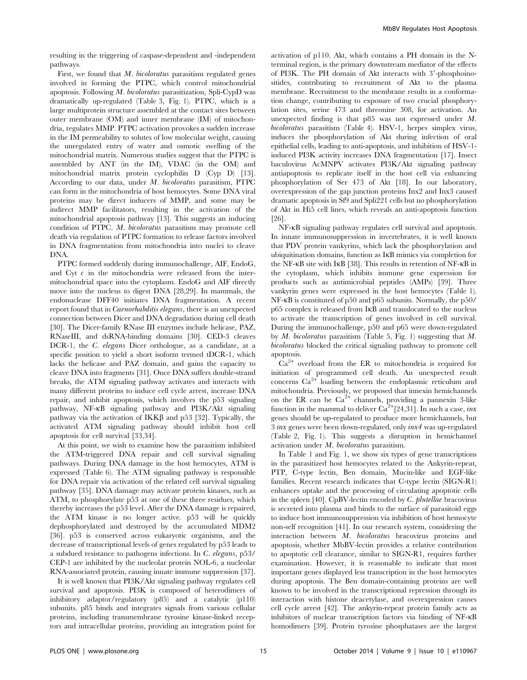resulting in the triggering of caspase-dependent and -independent pathways.

First, we found that M. bicoloratus parasitism regulated genes involved in forming the PTPC, which control mitochondrial apoptosis. Following M. bicoloratus parasitization, Spli-CypD was dramatically up-regulated (Table 3, Fig. 1). PTPC, which is a large multiprotein structure assembled at the contact sites between outer membrane (OM) and inner membrane (IM) of mitochondria, regulates MMP. PTPC activation provokes a sudden increase in the IM permeability to solutes of low molecular weight, causing the unregulated entry of water and osmotic swelling of the mitochondrial matrix. Numerous studies suggest that the PTPC is assembled by ANT (in the IM), VDAC (in the OM) and mitochondrial matrix protein cyclophilin D (Cyp D) [13]. According to our data, under M. bicoloratus parasitism, PTPC can form in the mitochondria of host hemocytes. Some DNA viral proteins may be direct inducers of MMP, and some may be indirect MMP facilitators, resulting in the activation of the mitochondrial apoptosis pathway [13]. This suggests an inducing condition of PTPC. M. bicoloratus parasitism may promote cell death via regulation of PTPC formation to release factors involved in DNA fragmentation from mitochondria into nuclei to cleave DNA.

PTPC formed suddenly during immunochallenge, AIF, EndoG, and Cyt  $c$  in the mitochondria were released from the intermitochondrial space into the cytoplasm. EndoG and AIF directly move into the nucleus to digest DNA [28,29]. In mammals, the endonuclease DFF40 initiates DNA fragmentation. A recent report found that in Caenorhabditis elegans, there is an unexpected connection between Dicer and DNA degradation during cell death [30]. The Dicer-family RNase III enzymes include helicase, PAZ, RNaseIII, and dsRNA-binding domains [30]. CED-3 cleaves DCR-1, the *C. elegans* Dicer orthologue, as a candidate, at a specific position to yield a short isoform termed tDCR-1, which lacks the helicase and PAZ domain, and gains the capacity to cleave DNA into fragments [31]. Once DNA suffers double-strand breaks, the ATM signaling pathway activates and interacts with many different proteins to induce cell cycle arrest, increase DNA repair, and inhibit apoptosis, which involves the p53 signaling pathway, NF-kB signaling pathway and PI3K/Akt signaling pathway via the activation of  $IKK\beta$  and p53 [32]. Typically, the activated ATM signaling pathway should inhibit host cell apoptosis for cell survival [33,34].

At this point, we wish to examine how the parasitism inhibited the ATM-triggered DNA repair and cell survival signaling pathways. During DNA damage in the host hemocytes, ATM is expressed (Table 6). The ATM signaling pathway is responsible for DNA repair via activation of the related cell survival signaling pathway [35]. DNA damage may activate protein kinases, such as ATM, to phosphorylate p53 at one of these three residues, which thereby increases the p53 level. After the DNA damage is repaired, the ATM kinase is no longer active. p53 will be quickly dephosphorylated and destroyed by the accumulated MDM2 [36]. p53 is conserved across eukaryotic organisms, and the decrease of transcriptional levels of genes regulated by p53 leads to a subdued resistance to pathogens infections. In C. elegans, p53/ CEP-1 are inhibited by the nucleolar protein NOL-6, a nucleolar RNA-associated protein, causing innate immune suppression [37].

It is well known that PI3K/Akt signaling pathway regulates cell survival and apoptosis. PI3K is composed of heterodimers of inhibitory adaptor/regulatory (p85) and a catalytic (p110) subunits. p85 binds and integrates signals from various cellular proteins, including transmembrane tyrosine kinase-linked receptors and intracellular proteins, providing an integration point for

activation of p110. Akt, which contains a PH domain in the Nterminal region, is the primary downstream mediator of the effects of PI3K. The PH domain of Akt interacts with 3'-phosphoinositides, contributing to recruitment of Akt to the plasma membrane. Recruitment to the membrane results in a conformation change, contributing to exposure of two crucial phosphorylation sites, serine 473 and threonine 308, for activation. An unexpected finding is that p85 was not expressed under M. bicoloratus parasitism (Table 4). HSV-1, herpes simplex virus, induces the phosphorylation of Akt during infection of oral epithelial cells, leading to anti-apoptosis, and inhibition of HSV-1 induced PI3K activity increases DNA fragmentation [17]. Insect baculovirus AcMNPV activates PI3K/Akt signaling pathway antiapoptosis to replicate itself in the host cell via enhancing phosphorylation of Ser 473 of Akt [18]. In our laboratory, overexpression of the gap junction proteins Inx2 and Inx3 caused dramatic apoptosis in Sf9 and Spli221 cells but no phosphorylation of Akt in Hi5 cell lines, which reveals an anti-apoptosis function [26].

NF-kB signaling pathway regulates cell survival and apoptosis. In innate immunosuppression in invertebrates, it is well known that PDV protein vankyrins, which lack the phosphorylation and ubiquitination domains, function as IkB mimics via completion for the NF-kB site with IkB [38]. This results in retention of NF-kB in the cytoplasm, which inhibits immune gene expression for products such as antimicrobial peptides (AMPs) [39]. Three vankyrin genes were expressed in the host hemocytes (Table 1). NF-kB is constituted of p50 and p65 subunits. Normally, the p50/ p65 complex is released from IkB and translocated to the nucleus to activate the transcription of genes involved in cell survival. During the immunochallenge, p50 and p65 were down-regulated by M. bicoloratus parasitism (Table 5, Fig. 1) suggesting that M. bicoloratus blocked the critical signaling pathway to promote cell apoptosis.

 $Ca<sup>2+</sup>$  overload from the ER to mitochondria is required for initiation of programmed cell death. An unexpected result concerns  $Ca^{2+}$  loading between the endoplasmic reticulum and mitochondria. Previously, we proposed that innexin hemichannels on the ER can be  $Ca^{2+}$  channels, providing a pannexin 3-like function in the mammal to deliver  $\text{Ca}^{2+}[24,31]$ . In such a case, *inx* genes should be up-regulated to produce more hemichannels, but 3 inx genes were been down-regulated, only inx4 was up-regulated (Table 2, Fig. 1). This suggests a disruption in hemichannel activation under M. bicoloratus parasitism.

In Table 1 and Fig. 1, we show six types of gene transcriptions in the parasitized host hemocytes related to the Ankyrin-repeat, PTP, C-type lectin, Ben domain, Mucin-like and EGF-like families. Recent research indicates that C-type lectin (SIGN-R1) enhances uptake and the processing of circulating apoptotic cells in the spleen [40]. CpBV-lectin encoded by C. plutellae bracovirus is secreted into plasma and binds to the surface of parasitoid eggs to induce host immunosuppression via inhibition of host hemocyte non-self recognition [41]. In our research system, considering the interaction between M. bicoloratus bracovirus proteins and apoptosis, whether MbBV-lectin provides a relative contribution to apoptotic cell clearance, similar to SIGN-R1, requires further examination. However, it is reasonable to indicate that most important genes displayed less transcription in the host hemocytes during apoptosis. The Ben domain-containing proteins are well known to be involved in the transcriptional repression through its interaction with histone deacetylase, and overexpression causes cell cycle arrest [42]. The ankyrin-repeat protein family acts as inhibitors of nuclear transcription factors via binding of NF-kB homodimers [39]. Protein tyrosine phosphatases are the largest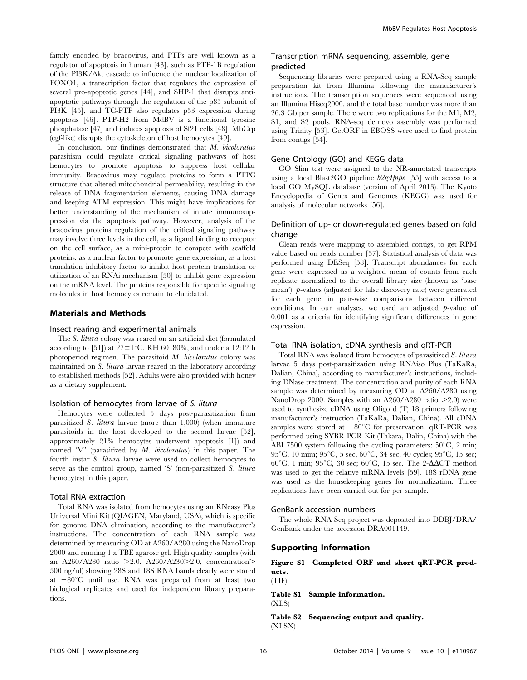family encoded by bracovirus, and PTPs are well known as a regulator of apoptosis in human [43], such as PTP-1B regulation of the PI3K/Akt cascade to influence the nuclear localization of FOXO1, a transcription factor that regulates the expression of several pro-apoptotic genes [44], and SHP-1 that disrupts antiapoptotic pathways through the regulation of the p85 subunit of PI3K [45], and TC-PTP also regulates p53 expression during apoptosis [46]. PTP-H2 from MdBV is a functional tyrosine phosphatase [47] and induces apoptosis of Sf21 cells [48]. MbCrp (egf-like) disrupts the cytoskeleton of host hemocytes [49].

In conclusion, our findings demonstrated that M. bicoloratus parasitism could regulate critical signaling pathways of host hemocytes to promote apoptosis to suppress host cellular immunity. Bracovirus may regulate proteins to form a PTPC structure that altered mitochondrial permeability, resulting in the release of DNA fragmentation elements, causing DNA damage and keeping ATM expression. This might have implications for better understanding of the mechanism of innate immunosuppression via the apoptosis pathway. However, analysis of the bracovirus proteins regulation of the critical signaling pathway may involve three levels in the cell, as a ligand binding to receptor on the cell surface, as a mini-protein to compete with scaffold proteins, as a nuclear factor to promote gene expression, as a host translation inhibitory factor to inhibit host protein translation or utilization of an RNAi mechanism [50] to inhibit gene expression on the mRNA level. The proteins responsible for specific signaling molecules in host hemocytes remain to elucidated.

## Materials and Methods

#### Insect rearing and experimental animals

The S. litura colony was reared on an artificial diet (formulated according to [51]) at  $27 \pm 1^{\circ}$ C, RH 60–80%, and under a 12:12 h photoperiod regimen. The parasitoid M. bicoloratus colony was maintained on S. litura larvae reared in the laboratory according to established methods [52]. Adults were also provided with honey as a dietary supplement.

#### Isolation of hemocytes from larvae of S. litura

Hemocytes were collected 5 days post-parasitization from parasitized S. litura larvae (more than 1,000) (when immature parasitoids in the host developed to the second larvae [52], approximately 21% hemocytes underwent apoptosis [1]) and named 'M' (parasitized by M. bicoloratus) in this paper. The fourth instar S. litura larvae were used to collect hemocytes to serve as the control group, named 'S' (non-parasitized S. litura hemocytes) in this paper.

### Total RNA extraction

Total RNA was isolated from hemocytes using an RNeasy Plus Universal Mini Kit (QIAGEN, Maryland, USA), which is specific for genome DNA elimination, according to the manufacturer's instructions. The concentration of each RNA sample was determined by measuring OD at A260/A280 using the NanoDrop 2000 and running 1 x TBE agarose gel. High quality samples (with an A260/A280 ratio  $>2.0$ , A260/A230 $>2.0$ , concentration $>$ 500 ng/ul) showing 28S and 18S RNA bands clearly were stored at  $-80^{\circ}$ C until use. RNA was prepared from at least two biological replicates and used for independent library preparations.

## Transcription mRNA sequencing, assemble, gene predicted

Sequencing libraries were prepared using a RNA-Seq sample preparation kit from Illumina following the manufacturer's instructions. The transcription sequences were sequenced using an Illumina Hiseq2000, and the total base number was more than 26.3 Gb per sample. There were two replications for the M1, M2, S1, and S2 pools. RNA-seq de novo assembly was performed using Trinity [53]. GetORF in EBOSS were used to find protein from contigs [54].

## Gene Ontology (GO) and KEGG data

GO Slim test were assigned to the NR-annotated transcripts using a local Blast2GO pipeline b2g4pipe [55] with access to a local GO MySQL database (version of April 2013). The Kyoto Encyclopedia of Genes and Genomes (KEGG) was used for analysis of molecular networks [56].

## Definition of up- or down-regulated genes based on fold change

Clean reads were mapping to assembled contigs, to get RPM value based on reads number [57]. Statistical analysis of data was performed using DESeq [58]. Transcript abundances for each gene were expressed as a weighted mean of counts from each replicate normalized to the overall library size (known as 'base mean'). p-values (adjusted for false discovery rate) were generated for each gene in pair-wise comparisons between different conditions. In our analyses, we used an adjusted  $p$ -value of 0.001 as a criteria for identifying significant differences in gene expression.

#### Total RNA isolation, cDNA synthesis and qRT-PCR

Total RNA was isolated from hemocytes of parasitized S. litura larvae 5 days post-parasitization using RNAiso Plus (TaKaRa, Dalian, China), according to manufacturer's instructions, including DNase treatment. The concentration and purity of each RNA sample was determined by measuring OD at A260/A280 using NanoDrop 2000. Samples with an A260/A280 ratio  $>2.0$ ) were used to synthesize cDNA using Oligo d (T) 18 primers following manufacturer's instruction (TaKaRa, Dalian, China). All cDNA samples were stored at  $-80^{\circ}\text{C}$  for preservation. qRT-PCR was performed using SYBR PCR Kit (Takara, Dalin, China) with the ABI 7500 system following the cycling parameters:  $50^{\circ}$ C, 2 min;  $95^{\circ}$ C, 10 mim;  $95^{\circ}$ C, 5 sec,  $60^{\circ}$ C, 34 sec, 40 cycles;  $95^{\circ}$ C, 15 sec; 60°C, 1 min; 95°C, 30 sec; 60°C, 15 sec. The 2- $\Delta \Delta CT$  method was used to get the relative mRNA levels [59]. 18S rDNA gene was used as the housekeeping genes for normalization. Three replications have been carried out for per sample.

#### GenBank accession numbers

The whole RNA-Seq project was deposited into DDBJ/DRA/ GenBank under the accession DRA001149.

## Supporting Information

## Figure S1 Completed ORF and short qRT-PCR products.

(TIF)

Table S1 Sample information. (XLS)

Table S2 Sequencing output and quality. (XLSX)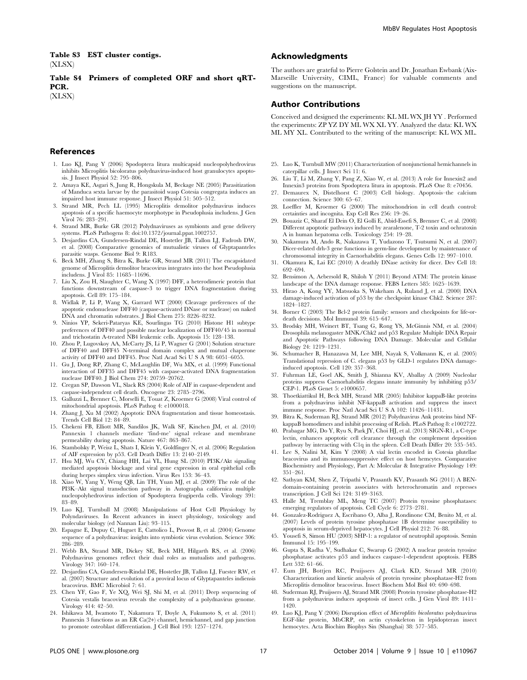Table S3 EST cluster contigs. (XLSX)

Table S4 Primers of completed ORF and short qRT-PCR.

(XLSX)

#### References

- 1. Luo KJ, Pang Y (2006) Spodoptera litura multicapsid nucleopolyhedrovirus inhibits Microplitis bicoloratus polydnavirus-induced host granulocytes apoptosis. J Insect Physiol 52: 795–806.
- 2. Amaya KE, Asgari S, Jung R, Hongskula M, Beckage NE (2005) Parasitization of Manduca sexta larvae by the parasitoid wasp Cotesia congregata induces an impaired host immune response. J Insect Physiol 51: 505–512.
- 3. Strand MR, Pech LL (1995) Microplitis demolitor polydnavirus induces apoptosis of a specific haemocyte morphotype in Pseudoplusia includens. J Gen Virol 76: 283–291.
- 4. Strand MR, Burke GR (2012) Polydnaviruses as symbionts and gene delivery systems. PLoS Pathogens 8: doi:10.1372/journal.ppat.1002757.
- 5. Desjardins CA, Gundersen-Rindal DE, Hostetler JB, Tallon LJ, Fadrosh DW, et al. (2008) Comparative genomics of mutualistic viruses of Glyptapanteles parasitic wasps. Genome Biol 9: R183.
- 6. Beck MH, Zhang S, Bitra K, Burke GR, Strand MR (2011) The encapsidated genome of Microplitis demolitor bracovirus integrates into the host Pseudoplusia includens. J Virol 85: 11685–11696.
- 7. Liu X, Zou H, Slaughter C, Wang X (1997) DFF, a heterodimeric protein that functions downstream of caspase-3 to trigger DNA fragmentation during apoptosis. Cell 89: 175–184.
- 8. Widlak P, Li P, Wang X, Garrard WT (2000) Cleavage preferences of the apoptotic endonuclease DFF40 (caspase-activated DNase or nuclease) on naked DNA and chromatin substrates. J Biol Chem 275: 8226–8232.
- 9. Ninios YP, Sekeri-Pataryas KE, Sourlingas TG (2010) Histone H1 subtype preferences of DFF40 and possible nuclear localization of DFF40/45 in normal and trichostatin A-treated NB4 leukemic cells. Apoptosis 15: 128–138.
- 10. Zhou P, Lugovskoy AA, McCarty JS, Li P, Wagner G (2001) Solution structure of DFF40 and DFF45 N-terminal domain complex and mutual chaperone activity of DFF40 and DFF45. Proc Natl Acad Sci U S A 98: 6051–6055.
- 11. Gu J, Dong RP, Zhang C, McLaughlin DF, Wu MX, et al. (1999) Functional interaction of DFF35 and DFF45 with caspase-activated DNA fragmentation nuclease DFF40. J Biol Chem 274: 20759–20762.
- 12. Cregan SP, Dawson VL, Slack RS (2004) Role of AIF in caspase-dependent and caspase-independent cell death. Oncogene 23: 2785–2796.
- 13. Galluzzi L, Brenner C, Morselli E, Touat Z, Kroemer G (2008) Viral control of mitochondrial apoptosis. PLoS Pathog 4: e1000018.
- 14. Zhang J, Xu M (2002) Apoptotic DNA fragmentation and tissue homeostasis. Trends Cell Biol 12: 84–89.
- 15. Chekeni FB, Elliott MR, Sandilos JK, Walk SF, Kinchen JM, et al. (2010) Pannexin 1 channels mediate 'find-me' signal release and membrane permeability during apoptosis. Nature 467: 863–867.
- 16. Stambolsky P, Weisz L, Shats I, Klein Y, Goldfinger N, et al. (2006) Regulation of AIF expression by p53. Cell Death Differ 13: 2140–2149.
- 17. Hsu MJ, Wu CY, Chiang HH, Lai YL, Hung SL (2010) PI3K/Akt signaling mediated apoptosis blockage and viral gene expression in oral epithelial cells during herpes simplex virus infection. Virus Res 153: 36–43.
- 18. Xiao W, Yang Y, Weng QB, Lin TH, Yuan MJ, et al. (2009) The role of the PI3K–Akt signal transduction pathway in Autographa californica multiple nucleopolyhedrovirus infection of Spodoptera frugiperda cells. Virology 391: 83–89.
- 19. Luo KJ, Turnbull M (2008) Manipulations of Host Cell Physiology by Polyndaviruses. In Recent advances in insect physiology, toxicology and molecular biology (ed Nannan Liu): 93–115.
- 20. Espagne E, Dupuy C, Huguet E, Cattolico L, Provost B, et al. (2004) Genome sequence of a polydnavirus: insights into symbiotic virus evolution. Science 306: 286–289.
- 21. Webb BA, Strand MR, Dickey SE, Beck MH, Hilgarth RS, et al. (2006) Polydnavirus genomes reflect their dual roles as mutualists and pathogens. Virology 347: 160–174.
- 22. Desjardins CA, Gundersen-Rindal DE, Hostetler JB, Tallon LJ, Fuester RW, et al. (2007) Structure and evolution of a proviral locus of Glyptapanteles indiensis bracovirus. BMC Microbiol 7: 61.
- 23. Chen YF, Gao F, Ye XQ, Wei SJ, Shi M, et al. (2011) Deep sequencing of Cotesia vestalis bracovirus reveals the complexity of a polydnavirus genome. Virology 414: 42–50.
- 24. Ishikawa M, Iwamoto T, Nakamura T, Doyle A, Fukumoto S, et al. (2011) Pannexin 3 functions as an ER Ca(2+) channel, hemichannel, and gap junction to promote osteoblast differentiation. J Cell Biol 193: 1257–1274.

The authors are grateful to Pierre Golstein and Dr. Jonathan Ewbank (Aix-Marseille University, CIML, France) for valuable comments and suggestions on the manuscript.

## Author Contributions

Conceived and designed the experiments: KL ML WX JH YY . Performed the experiments: ZP YZ DY ML WX XL YY. Analyzed the data: KL WX ML MY XL. Contributed to the writing of the manuscript: KL WX ML.

- 25. Luo K, Turnbull MW (2011) Characterization of nonjunctional hemichannels in caterpillar cells. J Insect Sci 11: 6.
- 26. Liu T, Li M, Zhang Y, Pang Z, Xiao W, et al. (2013) A role for Innexin2 and Innexin3 proteins from Spodoptera litura in apoptosis. PLoS One 8: e70456.
- 27. Demaurex N, Distelhorst C (2003) Cell biology. Apoptosis–the calcium connection. Science 300: 65–67.
- 28. Loeffler M, Kroemer G (2000) The mitochondrion in cell death control: certainties and incognita. Exp Cell Res 256: 19–26.
- 29. Bouaziz C, Sharaf El Dein O, El Golli E, Abid-Essefi S, Brenner C, et al. (2008) Different apoptotic pathways induced by zearalenone, T-2 toxin and ochratoxin A in human hepatoma cells. Toxicology 254: 19–28.
- 30. Nakamura M, Ando R, Nakazawa T, Yudazono T, Tsutsumi N, et al. (2007) Dicer-related drh-3 gene functions in germ-line development by maintenance of chromosomal integrity in Caenorhabditis elegans. Genes Cells 12: 997–1010.
- 31. Okamura K, Lai EC (2010) A deathly DNase activity for dicer. Dev Cell 18: 692–694.
- 32. Bensimon A, Aebersold R, Shiloh Y (2011) Beyond ATM: The protein kinase landscape of the DNA damage response. FEBS Letters 585: 1625–1639.
- 33. Hirao A, Kong YY, Matsuoka S, Wakeham A, Ruland J, et al. (2000) DNA damage-induced activation of p53 by the checkpoint kinase Chk2. Science 287: 1824–1827.
- 34. Borner C (2003) The Bcl-2 protein family: sensors and checkpoints for life-ordeath decisions. Mol Immunol 39: 615–647.
- 35. Brodsky MH, Weinert BT, Tsang G, Rong YS, McGinnis NM, et al. (2004) Drosophila melanogaster MNK/Chk2 and p53 Regulate Multiple DNA Repair and Apoptotic Pathways following DNA Damage. Molecular and Cellular Biology 24: 1219–1231.
- 36. Schumacher B, Hanazawa M, Lee MH, Nayak S, Volkmann K, et al. (2005) Translational repression of C. elegans p53 by GLD-1 regulates DNA damageinduced apoptosis. Cell 120: 357–368.
- 37. Fuhrman LE, Goel AK, Smith J, Shianna KV, Aballay A (2009) Nucleolar proteins suppress Caenorhabditis elegans innate immunity by inhibiting p53/ CEP-1. PLoS Genet 5: e1000657.
- 38. Thoetkiattikul H, Beck MH, Strand MR (2005) Inhibitor kappaB-like proteins from a polydnavirus inhibit NF-kappaB activation and suppress the insect immune response. Proc Natl Acad Sci U S A 102: 11426–11431.
- 39. Bitra K, Suderman RJ, Strand MR (2012) Polydnavirus Ank proteins bind NFkappaB homodimers and inhibit processing of Relish. PLoS Pathog 8: e1002722.
- 40. Prabagar MG, Do Y, Ryu S, Park JY, Choi HJ, et al. (2013) SIGN-R1, a C-type lectin, enhances apoptotic cell clearance through the complement deposition pathway by interacting with C1q in the spleen. Cell Death Differ 20: 535–545.
- 41. Lee S, Nalini M, Kim Y (2008) A vial lectin encoded in Cotesia plutellae bracovirus and its immunosuppressive effect on host hemcytes. Comparative Biochemistry and Physiology, Part A: Molecular & Integrative Physiology 149: 351–261.
- 42. Sathyan KM, Shen Z, Tripathi V, Prasanth KV, Prasanth SG (2011) A BENdomain-containing protein associates with heterochromatin and represses transcription. J Cell Sci 124: 3149–3163.
- 43. Halle M, Tremblay ML, Meng TC (2007) Protein tyrosine phosphatases: emerging regulators of apoptosis. Cell Cycle 6: 2773–2781.
- 44. Gonzalez-Rodriguez A, Escribano O, Alba J, Rondinone CM, Benito M, et al. (2007) Levels of protein tyrosine phosphatase 1B determine susceptibility to apoptosis in serum-deprived hepatocytes. J Cell Physiol 212: 76–88.
- 45. Yousefi S, Simon HU (2003) SHP-1: a regulator of neutrophil apoptosis. Semin Immunol 15: 195–199.
- 46. Gupta S, Radha V, Sudhakar C, Swarup G (2002) A nuclear protein tyrosine phosphatase activates p53 and induces caspase-1-dependent apoptosis. FEBS Lett 532: 61–66.
- 47. Eum JH, Bottjen RC, Pruijssers AJ, Clark KD, Strand MR (2010) Characterization and kinetic analysis of protein tyrosine phosphatase-H2 from Microplitis demolitor bracovirus. Insect Biochem Mol Biol 40: 690–698.
- 48. Suderman RJ, Pruijssers AJ, Strand MR (2008) Protein tyrosine phosphatase-H2 from a polydnavirus induces apoptosis of insect cells. J Gen Virol 89: 1411– 1420.
- 49. Luo KJ, Pang Y (2006) Disruption effect of Microplitis bicoloratus polydnavirus EGF-like protein, MbCRP, on actin cytoskeleton in lepidopteran insect hemocytes. Acta Biochim Biophys Sin (Shanghai) 38: 577–585.